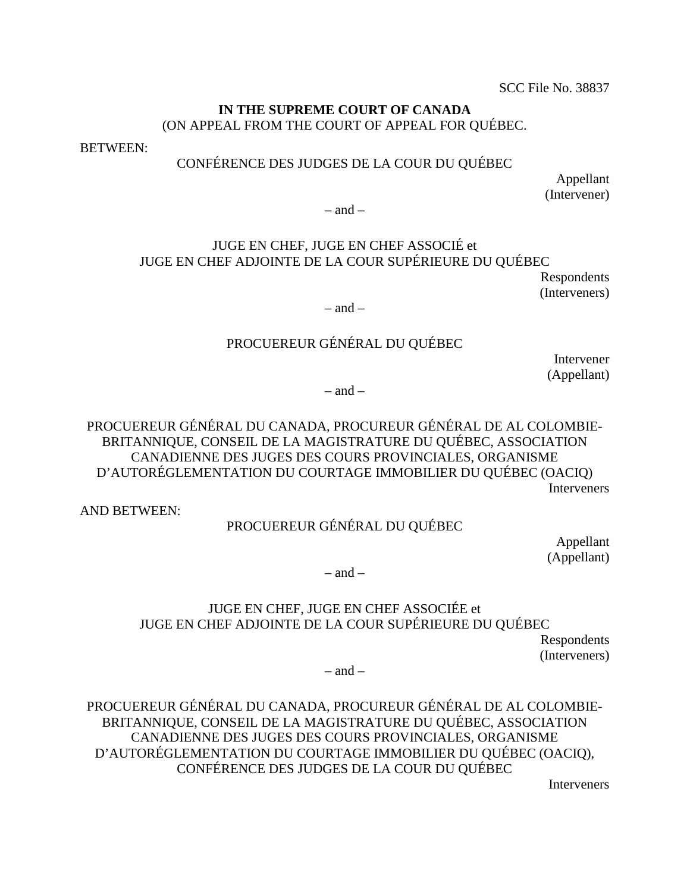#### IN THE SUPREME COURT OF CANADA **IN THE SUPREME COURT OF CANADA** (ON APPEAL FROM THE COURT OF APPEAL FOR QUEBEC. (ON APPEAL FROM THE COURT OF APPEAL FOR QUÉBEC.

BETWEEN: BETWEEN:

#### CONFERENCE DES JUDGES DE LA COUR DU QUEBEC CONFÉRENCE DES JUDGES DE LA COUR DU QUÉBEC

Appellant (Intervener) Appellant (Intervener)<br>  $-$  and  $-$ 

 $-$  and  $-$ 

### JUGE EN CHEF, JUGE EN CHEF ASSOCIE et JUGE EN CHEF ADJOINTE DE LA COUR SUPERIEURE DU QUEBEC JUGE EN CHEF, JUGE EN CHEF ASSOCIÉ et<br>JUGE EN CHEF ADJOINTE DE LA COUR SUPÉRIEURE DU QUÉBEC<br>Respondents<br>— and –

Respondents (Interveners)

 $-$  and  $-$ 

#### PROCUEREUR GÉNÉRAL DU QUÉBEC

Intervener (Appellant)

 $-$  and  $-$ 

PROCUEREUR GÉNÉRAL DU QUÉBEC<br>Intervener (Appellant)<br>PROCUEREUR GÉNÉRAL DU CANADA, PROCUREUR GÉNÉRAL DE AL COLOMBIE-BRITANNIQUE, CONSEIL DE LA MAGISTRATURE DU QUEBEC, ASSOCIATION CANADIENNE DES JUGES DES COURS PROVINCIALES, ORGANISME D'AUTOREGLEMENTATION DU COURTAGE IMMOBILIER DU QUEBEC (OACIQ) **Interveners** BRITANNIQUE, CONSEIL DE LA MAGISTRATURE DU QUÉBEC, ASSOCIATION<br>CANADIENNE DES JUGES DES COURS PROVINCIALES, ORGANISME<br>D'AUTORÉGLEMENTATION DU COURTAGE IMMOBILIER DU QUÉBEC (OACIQ)<br>Interveners<br>AND BETWEEN:

AND BETWEEN:

#### PROCUEREUR GÉNÉRAL DU OUÉBEC

Appellant (Appellant)

 $-$  and  $-$ 

# JUGE EN CHEF, JUGE EN CHEF ASSOCIEE et JUGE EN CHEF ADJOINTE DE LA COUR SUPERIEURE DU QUEBEC JUGE EN CHEF ADJOINTE DE LA COUR SUPÉRIEURE DU QUÉBEC<br>Respondents (Interveners)<br>— and —<br>PROCUEREUR GÉNÉRAL DU CANADA, PROCUREUR GÉNÉRAL DE AL COLOMBIE-PROCUEREUR GÉNÉRAL DU QUÉBEC<br>Appellant (Appellant)<br>- and –<br>JUGE EN CHEF, JUGE EN CHEF ASSOCIÉE et

Respondents (Interveners)

 $-$  and  $-$ 

BRITANNIQUE, CONSEIL DE LA MAGISTRATURE DU QUEBEC, ASSOCIATION CANADIENNE DES JUGES DES COURS PROVINCIALES, ORGANISME BRITANNIQUE, CONSEIL DE LA MAGISTRATURE DU QUÉBEC, ASSOCIATION<br>CANADIENNE DES JUGES DES COURS PROVINCIALES, ORGANISME<br>D'AUTORÉGLEMENTATION DU COURTAGE IMMOBILIER DU QUÉBEC (OACIQ), CONFERENCE DES JUDGES DE LA COUR DU QUEBEC CONFÉRENCE DES JUDGES DE LA COUR DU QUÉBEC

Interveners Interveners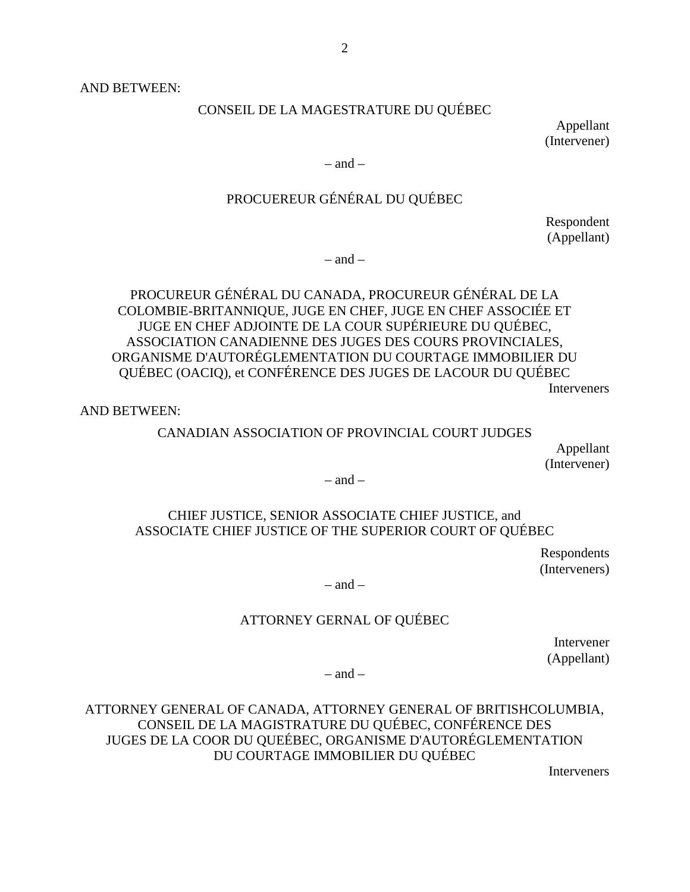AND BETWEEN:  $2$ <br>AND BETWEEN:

CONSEIL DE LA MAGESTRATURE DU QUEBEC CONSEIL DE LA MAGESTRATURE DU QUÉBEC Appellant

Appellant (Intervener) (Intervener)

 $-$  and  $-$ 

# PROCUEREUR GÉNÉRAL DU QUÉBEC – and – PROCUEREUR GÉNÉRAL DU QUÉBEC Respondent (Appellant)

Respondent (Appellant)

 $-$  and  $-$ 

### PROCUREUR GENERAL DU CANADA, PROCUREUR GENERAL DE LA COLOMBIE-BRITANNIQUE, JUGE EN CHEF, JUGE EN CHEF ASSOCIEE ET JUGE EN CHEF ADJOINTE DE LA COUR SUPERIEURE DU QUEBEC, ASSOCIATION CANADIENNE DES JUGES DES COURS PROVINCIALES, ASSOCIATION CANADIENNE DES JUGES DES COURS PROVINCIALES, ORGANISME D'AUTOREGLEMENTATION DU COURTAGE IMMOBILIER DU ORGANISME D'AUTORÉGLEMENTATION DU COURTAGE IMMOBILIER DU QUÉBEC (OACIQ), et CONFÉRENCE DES JUGES DE LACOUR DU QUÉBEC<br>Interveners<br>AND BETWEEN: – and – PROCUREUR GÉNÉRAL DU CANADA, PROCUREUR GÉNÉRAL DE LA COLOMBIE-BRITANNIQUE, JUGE EN CHEF, JUGE EN CHEF ASSOCIÉE ET JUGE EN CHEF ADJOINTE DE LA COUR SUPÉRIEURE DU QUÉBEC,

Interveners

AND BETWEEN:

#### CANADIAN ASSOCIATION OF PROVINCIAL COURT JUDGES CANADIAN ASSOCIATION OF PROVINCIAL COURT JUDGES

Appellant (Intervener)

 $-$  and  $-$ 

# CHIEF JUSTICE, SENIOR ASSOCIATE CHIEF JUSTICE, and ASSOCIATE CHIEF JUSTICE OF THE SUPERIOR COURT OF QUEBEC Appellant (Intervener)<br>
– and –<br>
CHIEF JUSTICE, SENIOR ASSOCIATE CHIEF JUSTICE, and<br>
ASSOCIATE CHIEF JUSTICE OF THE SUPERIOR COURT OF QUÉBEC Respondents<br>
– and –<br>
ATTORNEY GERNAL OF QUÉBEC

Respondents (Interveners)

 $=$  and  $=$ 

#### ATTORNEY GERNAL OF QUEBEC

Intervener Intervener (Appellant)

 $-$  and  $-$ 

### ATTORNEY GENERAL OF CANADA, ATTORNEY GENERAL OF BRITISHCOLUMBIA, CONSEIL DE LA MAGISTRATURE DU QUEBEC, CONFERENCE DES JUGES DE LA COOR DU QUEEBEC, ORGANISME D'AUTOREGLEMENTATION DU COURTAGE IMMOBILIER DU QUEBEC DU COURTAGE IMMOBILIER DU QUÉBEC Interveners (Appellant) – and – ATTORNEY GENERAL OF CANADA, ATTORNEY GENERAL OF BRITISHCOLUMBIA, CONSEIL DE LA MAGISTRATURE DU QUÉBEC, CONFÉRENCE DES JUGES DE LA COOR DU QUEÉBEC, ORGANISME D'AUTORÉGLEMENTATION

Interveners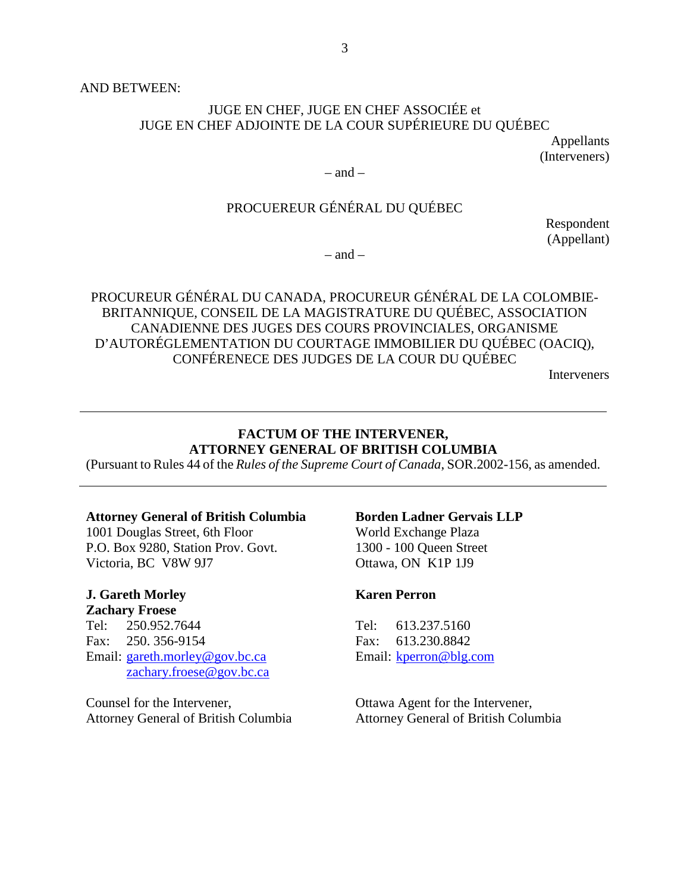AND BETWEEN:  $3$ <br>AND BETWEEN:

#### JUGE EN CHEF, JUGE EN CHEF ASSOCIÉE et JUGE EN CHEF ADJOINTE DE LA COUR SUPERIEURE DU QUEBEC JUGE EN CHEF, JUGE EN CHEF ASSOCIÉE et<br>JUGE EN CHEF ADJOINTE DE LA COUR SUPÉRIEURE DU QUÉBEC<br>Appellants

Appellants (Interveners)

 $-$  and  $-$ 

# PROCUEREUR GENERAL DU QUEBEC (Interveners) – and – PROCUEREUR GÉNÉRAL DU QUÉBEC Respondent

Respondent (Appellant)

 $-$  and  $-$ 

PROCUREUR GENERAL DU CANADA, PROCUREUR GENERAL DE LA COLOMBIE-(Appellant) – and – PROCUREUR GÉNÉRAL DU CANADA, PROCUREUR GÉNÉRAL DE LA COLOMBIE-BRITANNIQUE, CONSEIL DE LA MAGISTRATURE DU QUEBEC, ASSOCIATION CANADIENNE DES JUGES DES COURS PROVINCIALES, ORGANISME BRITANNIQUE, CONSEIL DE LA MAGISTRATURE DU QUÉBEC, ASSOCIATION<br>CANADIENNE DES JUGES DES COURS PROVINCIALES, ORGANISME<br>D'AUTORÉGLEMENTATION DU COURTAGE IMMOBILIER DU QUÉBEC (OACIQ), CONFERENECE DES JUDGES DE LA COUR DU QUEBEC CONFÉRENECE DES JUDGES DE LA COUR DU QUÉBEC Interveners

**Interveners** 

#### FACTUM OF THE INTERVENER, **FACTUM OF THE INTERVENER,<br>ATTORNEY GENERAL OF BRITISH COLUMBIA**

(Pursuant to Rules 44 of the Rules of the Supreme Court of Canada, SOR.2002-156, as amended. (Pursuant to Rules 44 of the *Rules of the Supreme Court of Canada*, SOR.2002-156, as amended.

#### Attorney General of British Columbia **Attorney General of British Columbia**

1001 Douglas Street, 6th Floor 1001 Douglas Street, 6th Floor P.O. Box 9280, Station Prov. Govt. P.O. Box 9280, Station Prov. Govt. Victoria, BC V8W 9J7 Victoria, BC V8W 9J7

# J. Gareth Morley **J. Gareth Morley Zachary Froese**

Zachary Froese Tel: 250.952.7644 Tel: 613.237.5160 Tel: 250.952.7644 Fax: 250. 356-9154 Fax: 613.230.8842 Fax: 613.230.8842 Email: gareth.morley@gov.bc.ca [zachary.froese@gov.bc.ca](mailto:zachary.froese@gov.bc.ca)  zachary.froese@gov.bc.ca Fax: 250. 356-9154 Attorney General of British Columbia<br>
1001 Douglas Street, 6th Floor World Exchange Plaza<br>
P.O. Box 9280, Station Prov. Govt. 1300 - 100 Queen Street<br>
Victoria, BC V8W 9J7 Ottawa, ON K1P 1J9<br> **J. Gareth Morley Karen Perron** 

Counsel for the Intervener, Counsel for the Intervener, Attorney General of British Columbia

#### Borden Ladner Gervais LLP

World Exchange Plaza 1300 - 100 Queen Street 1300 - 100 Queen Street Ottawa, ON K1P 1J9

#### Karen Perron **Karen Perron**

Email: kperron@blg.com Tel: 613.237.5160

Ottawa Agent for the Intervener, Ottawa Agent for the Intervener, Attorney General of British Columbia Attorney General of British Columbia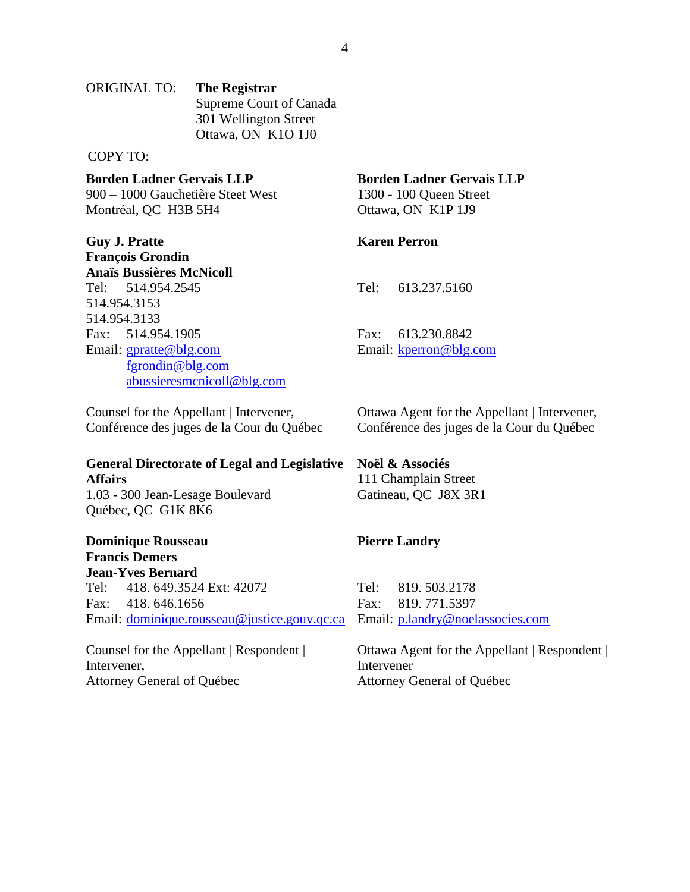ORIGINAL TO: The Registrar Supreme Court of Canada Supreme Court of Canada 301 Wellington Street 301 Wellington Street Ottawa, ON K10 1J0 Ottawa, ON K1O 1J0 4 ORIGINAL TO: **The Registrar** 

COPY TO: COPY TO:

Borden Ladner Gervais LLP **Borden Ladner Gervais LLP** 

900 — 1000 Gauchetiere Steet West 900 – 1000 Gauchetière Steet West Montréal, QC H3B 5H4 Montréal, QC H3B 5H4

Guy J. Pratte **Guy J. Pratte**  Francois Grondin François Grondin<br>Anaïs Bussières McNicoll Tel: 514.954.2545 Tel: 514.954.2545 514.954.3153 514.954.3153 514.954.3133 Fax: 514.954.1905 514.954.3133<br>Fax: 514.954.1905<br>Email: <u>gpratte@blg.com</u> fgrondin@blg.com [abussieresmcnicoll@b1g.com](mailto:abussieresmcnicoll@blg.com)  abussieresmcnicoll@blg.com **Borden Ladner Gervais LLP**<br>
900 – 1000 Gauchetière Steet West<br>
Montréal, QC H3B 5H4<br> **Example 100** – 100 Queen Street<br> **Example 10** Queen Street<br> **Example 119**<br> **Example 119**<br> **Example 119**<br> **Example 119**<br> **Example 119**<br>

Counsel for the Appellant | Intervener, Conférence des juges de la Cour du Québec

#### General Directorate of Legal and Legislative **General Directorate of Legal and Legislative Affairs**  Affairs

1.03 - 300 Jean-Lesage Boulevard 1.03 - 300 Jean-Lesage Boulevard Québec, QC G1K 8K6 Quebec, QC G1K 8K6

Dominique Rousseau **Dominique Rousseau Francis Demers**  Francis Demers

Jean-Yves Bernard **Jean-Yves Bernard** Tel: 418. 649.3524 Ext: 42072 Tel: 819. 503.2178 Tel: 418. 649.3524 Ext: 42072 Fax: 418. 646.1656 Fax: 819. 771.5397 Fax: 418. 646.1656 Email: [dominique.rousseau@justice.gouv.qc.ca](mailto:dominique.rousseau@justice.gouv.qc.ca)  Email: dominique.rousseau@justice.gouv.qc.ca

Counsel for the Appellant | Respondent | Intervener, Intervener, Attorney General of Quebec Attorney General of Québec

#### Borden Ladner Gervais LLP

1300 - 100 Queen Street 1300 - 100 Queen Street Ottawa, ON K1P 1J9

#### Karen Perron **Karen Perron**

Tel: 613.237.5160 Tel: 613.237.5160

Fax: 613.230.8842 Fax: 613.230.8842<br>Email: <u>kperron@blg.com</u>

Ottawa Agent for the Appellant | Intervener, Ottawa Agent for the Appellant | Intervener,<br>Conférence des juges de la Cour du Québec

#### Noel & Associes **Noël & Associés**

111 Champlain Street Gatineau, QC J8X 3R1 111 Champlain Street Gatineau, QC J8X 3R1

#### Pierre Landry **Pierre Landry**

Tel: 819. 503.2178<br>Fax: 819. 771.5397<br>Email: <u>p.landry@noelassocies.com</u>

Ottawa Agent for the Appellant | Respondent | Intervener Intervener Attorney General of Quebec Attorney General of Québec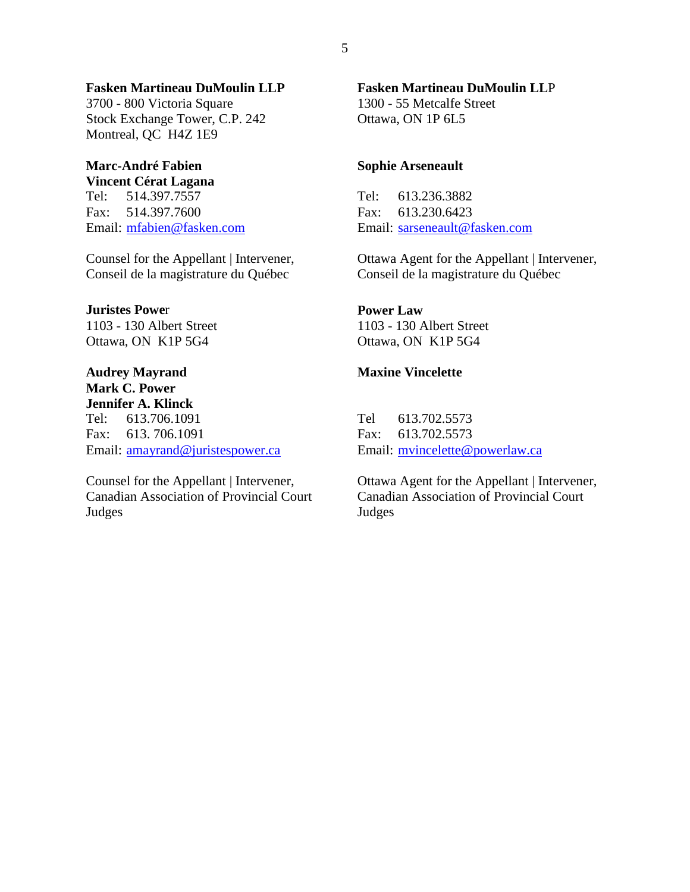#### Fasken Martineau DuMoulin LLP **Fasken Martineau DuMoulin LLP**

3700 - 800 Victoria Square Stock Exchange Tower, C.P. 242 Montreal, QC H4Z 1E9 3700 - 800 Victoria Square<br>Stock Exchange Tower, C.P. 242<br>Montreal, QC H4Z 1E9

#### Marc-André Fabien Vincent Cerat Lagana **Marc-André Fabien Vincent Cérat Lagana**

Fax: 514.397.7600 Fax: 613.230.6423 Fax: 514.397.7600 Email: mfabien@fasken.com

Counsel for the Appellant | Intervener, Conseil de la magistrature du Quebec Counsel for the Appellant | Intervener, Conseil de la magistrature du Québec

#### Juristes Power **Juristes Powe**r

1103 - 130 Albert Street Ottawa, ON K1P 5G4 1103 - 130 Albert Street Ottawa, ON K1P 5G4

Audrey Mayrand **Audrey Mayrand Mark C. Power**  Mark C. Power Jennifer A. Klinck **Jennifer A. Klinck** Tel: 613.706.1091 Fax: 613. 706.1091 Tel: 613.706.1091<br>Fax: 613.*7*06.1091<br>Email: <u>amayrand@juristespower.ca</u>

Counsel for the Appellant | Intervener, Canadian Association of Provincial Court Judges Counsel for the Appellant | Intervener, Canadian Association of Provincial Court Judges

## Fasken Martineau DuMoulin LLP **Fasken Martineau DuMoulin LL**P 1300 - 55 Metcalfe Street

1300 - 55 Metcalfe Street Ottawa, ON 1P 6L5 Ottawa, ON 1P 6L5

#### Sophie Arseneault **Sophie Arseneault**

Tel: 514.397.7557 Tel: 613.236.3882 Tel: 514.397.7557 Fax: 613.230.6423<br>Email: <u>sarseneault@fasken.com</u> Tel: 613.236.3882

> Ottawa Agent for the Appellant | Intervener,<br>Conseil de la magistrature du Québec Conseil de la magistrature du Quebec

#### Power Law **Power Law**

1103 - 130 Albert Street Ottawa, ON K1P 5G4 1103 - 130 Albert Street Ottawa, ON K1P 5G4

#### Maxine Vincelette **Maxine Vincelette**

Tel 613.702.5573 Fax: 613.702.5573 Tel 613.702.5573<br>Fax: 613.702.5573<br>Email: <u>mvincelette@powerlaw.ca</u>

Ottawa Agent for the Appellant | Intervener,<br>Canadian Association of Provincial Court<br>Judges Canadian Association of Provincial Court Judges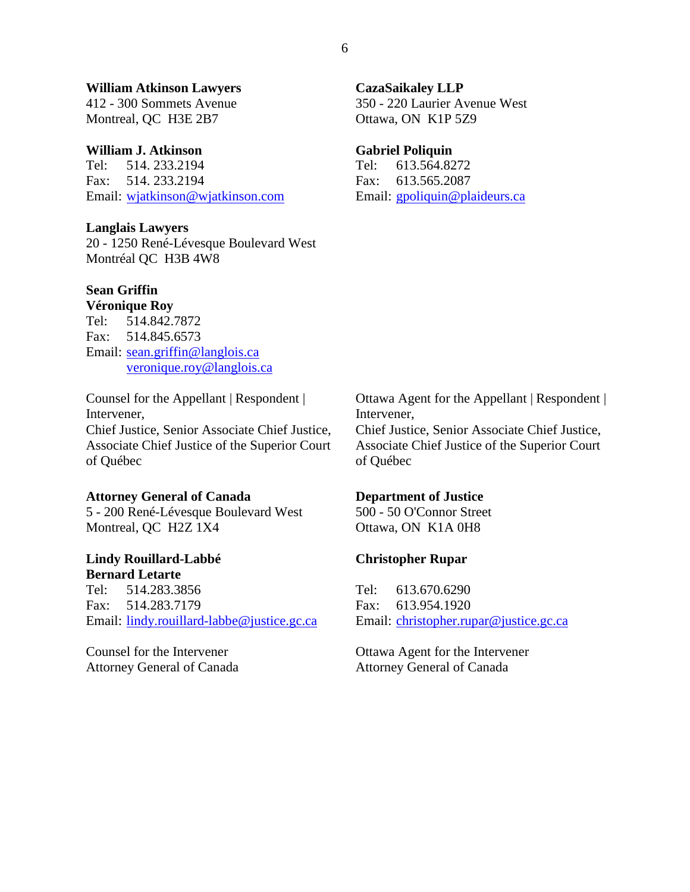#### William Atkinson Lawyers **William Atkinson Lawyers**

412 - 300 Sommets Avenue Montreal, QC H3E 2B7 412 - 300 Sommets Avenue Montreal, QC H3E 2B7

#### William J. Atkinson **William J. Atkinson**

Tel: 514. 233.2194 Tel: 613.564.8272 Tel: 514. 233.2194 Fax: 514. 233.2194 Fax: 613.565.2087 Fax: 514. 233.2194 Email: wjatkinson@wjatkinson.com

#### Langlais Lawyers **Langlais Lawyers**

20 - 1250 Rene-Levesque Boulevard West 20 - 1250 René-Lévesque Boulevard West Montréal QC H3B 4W8

#### Sean Griffin **Sean Griffin**

Veronique Roy **Véronique Roy**  Tel: 514.842.7872 Fax: 514.845.6573 Tel: 514.842.7872<br>Fax: 514.845.6573<br>Email: <u>sean.griffin@langlois.ca</u> [veronique.roy@langlois.ca](mailto:veronique.roy@langlois.ca)  veronique.roy@langlois.ca

Counsel for the Appellant | Respondent |<br>Intervener, Intervener, Chief Justice, Senior Associate Chief Justice, Chief Justice, Senior Associate Chief Justice, Associate Chief Justice of the Superior Court Associate Chief Justice of the Superior Court of Quebec of Québec

#### Attorney General of Canada **Attorney General of Canada**

5 - 200 Rene-Levesque Boulevard West 5 - 200 René-Lévesque Boulevard West Montreal, QC H2Z 1X4 Montreal, QC H2Z 1X4

#### Lindy Rouillard-Labbe **Lindy Rouillard-Labbé**  Bernard Letarte **Bernard Letarte**

Tel: 514.283.3856 Fax: 514.283.7179 Tel: 514.283.3856 Fax: 514.283.7179 Email: lindy.rouillard-labbe@justice.gc.ca Attorney General of Canada **Department of Justice**<br>
5 - 200 René-Lévesque Boulevard West 500 - 50 O'Connor Street<br>
Montreal, QC H2Z 1X4 Ottawa, ON K1A 0H8<br> **Lindy Rouillard-Labbé** Christopher Rupar<br> **Bernard Letarte**<br>
Tel:

Counsel for the Intervener Attorney General of Canada

#### C azaS aikaley LLP **CazaSaikaley LLP**

350 - 220 Laurier Avenue West 350 - 220 Laurier Avenue West Ottawa, ON K1P 5Z9 Ottawa, ON K1P 5Z9

#### Gabriel Poliquin **Gabriel Poliquin**

Fax: 613.565.2087<br>Email: <u>gpoliquin@plaideurs.ca</u> Tel: 613.564.8272

Ottawa Agent for the Appellant | Respondent | Intervener, Chief Justice, Senior Associate Chief Justice, Intervener, Chief Justice, Senior Associate Chief Justice,

Associate Chief Justice of the Superior Court Associate Chief Justice of the Superior Court of Québec of Quebec

#### Department of Justice

500 - 50 O'Connor Street Ottawa, ON K1A 0H8

#### Christopher Rupar **Christopher Rupar**

Tel: 613.670.6290 Tel: 613.670.6290 Fax: 613.954.1920 Fax: 613.954.1920 Email: christopher.rupar@justice.gc.ca

Ottawa Agent for the Intervener Ottawa Agent for the Intervener Attorney General of Canada Attorney General of Canada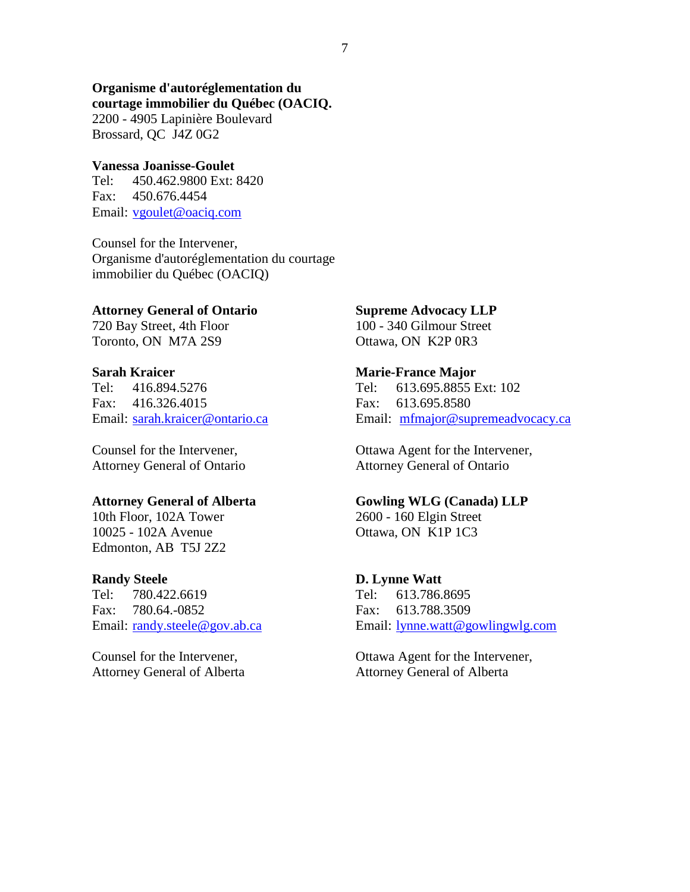#### Organisme d'autoréglementation du courtage immobilier du Quebec (OACIQ. **Organisme d'autoréglementation du courtage immobilier du Québec (OACIQ.**

2200 - 4905 Lapiniere Boulevard 2200 - 4905 Lapinière Boulevard Brossard, QC J4Z 0G2 Brossard, QC J4Z 0G2

#### Vanessa Joanisse-Goulet **Vanessa Joanisse-Goulet**

Tel: 450.462.9800 Ext: 8420<br>Fax: 450.676.4454 Fax: 450.676.4454 Email: vgoulet@oaciq.com

Counsel for the Intervener, Organisme d'autoréglementation du courtage immobilier du Quebec (OACIQ) Counsel for the Intervener, Organisme d'autoréglementation du courtage immobilier du Québec (OACIQ)

#### Attorney General of Ontario **Attorney General of Ontario**

720 Bay Street, 4th Floor Toronto, ON M7A 2S9 720 Bay Street, 4th Floor Toronto, ON M7A 2S9

#### Sarah Kraicer **Sarah Kraicer**

Tel: 416.894.5276 Tel: 613.695.8855 Ext: 102 Tel: 613.695.8855 Ext: 102 Fax: 416.326.4015 Fax: 613.695.8580 Fax: 613.695.8580 Email: sarah.kraicer@ontario.ca Tel: 416.894.5276 Fax: 416.326.4015

Counsel for the Intervener, Attorney General of Ontario Counsel for the Intervener, Attorney General of Ontario

#### Attorney General of Alberta **Attorney General of Alberta**

10th Floor, 102A Tower<br>10025 - 102A Avenue 10025 - 102A Avenue Edmonton, AB T5J 2Z2 Edmonton, AB T5J 2Z2

#### Randy Steele **Randy Steele**

Tel: 780.422.6619 Tel: 613.786.8695 Tel: 780.422.6619 Fax: 780.64.-0852 Fax: 613.788.3509 Fax: 613.788.3509 Email: randy.steele@gov.ab.ca Fax: 780.64.-0852

Counsel for the Intervener, Attorney General of Alberta Counsel for the Intervener, Attorney General of Alberta

#### Supreme Advocacy LLP **Supreme Advocacy LLP**

100 - 340 Gilmour Street Ottawa, ON K2P OR3 100 - 340 Gilmour Street Ottawa, ON K2P 0R3

#### Marie-France Major **Marie-France Major**

Email: mfmajor@supremeadvocacy.ca

Ottawa Agent for the Intervener, Ottawa Agent for the Intervener, Attorney General of Ontario Attorney General of Ontario

#### Gowling WLG (Canada) LLP **Gowling WLG (Canada) LLP**

2600 - 160 Elgin Street 2600 - 160 Elgin Street Ottawa, ON K1P 1C3

#### D. Lynne Watt **D. Lynne Watt**

Email: **lynne.watt@gowlingwlg.com** Tel: 613.786.8695

Ottawa Agent for the Intervener, Ottawa Agent for the Intervener, Attorney General of Alberta Attorney General of Alberta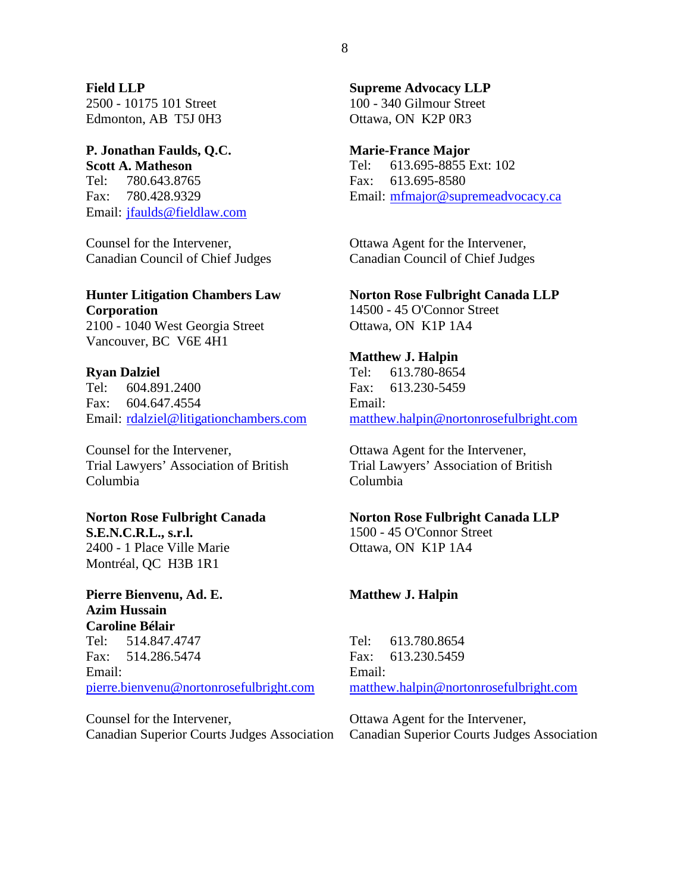Field LLP **Field LLP**  2500 - 10175 101 Street 2500 - 10175 101 Street<br>Edmonton, AB T5J 0H3

### P. Jonathan Faulds, Q.C. **P. Jonathan Faulds, Q.C.**  Scott A. Matheson **Scott A. Matheson**

Tel: 780.643.8765 Tel: 780.643.8765 Fax: 780.428.9329 Fax: 780.428.9329 Email: *jfaulds@fieldlaw.com* 

Counsel for the Intervener, Counsel for the Intervener, Canadian Council of Chief Judges Canadian Council of Chief Judges

#### Hunter Litigation Chambers Law **Hunter Litigation Chambers Law**  Corporation **Corporation**

2100 - 1040 West Georgia Street 2100 - 1040 West Georgia Street Vancouver, BC V6E 4H1 Vancouver, BC V6E 4H1

#### Ryan Dalziel **Ryan Dalziel**

Tel: 604.891.2400 Fax: 604.647.4554 Tel: 604.891.2400<br>Fax: 604.647.4554<br>Email: <u>rdalziel@litigationchambers.com</u> **Hunter Litigation Chambers Law Morton Rose Fulbright Canada LLP Corporation**<br>
2100 - 1040 West Georgia Street Ottawa, ON K1P 1A4<br>
Vancouver, BC V6E 4H1 Matthew J. Halpin<br> **Ryan Dalziel**<br>
Tel: 604.891.2400<br>
Fax: 604.647.45

Counsel for the Intervener, Counsel for the Intervener, Trial Lawyers' Association of British Columbia

# Norton Rose Fulbright Canada **Norton Rose Fulbright Canada S.E.N.C.R.L., s.r.l.**

S.E.N.C.R.L., s.r.l. 2400 - 1 Place Ville Marie 2400 - 1 Place Ville Marie Montréal, QC H3B 1R1

#### Pierre Bienvenu, Ad. E. **Pierre Bienvenu, Ad. E. Azim Hussain Caroline Bélair** Azim Hussain Caroline Bélair

Tel: 514.847.4747 Tel: 514.847.4747 Fax: 514.286.5474 Email: Fax: 514.286.5474<br>Email:<br><u>pierre.bienvenu@nortonrosefulbright.com</u> Norton Rose Fulbright Canada<br>
S.E.N.C.R.L., s.r.l.<br>
2400 - 1 Place Ville Marie<br>
2400 - 1 Place Ville Marie<br>
Montréal, QC H3B 1R1<br>
Pierre Bienvenu, Ad. E.<br>
Azim Hussain<br>
Caroline Bélair<br>
Tel: 514.847.4747<br>
Tel: 613.780.8654

Counsel for the Intervener, Counsel for the Intervener, Canadian Superior Courts Judges Association

Supreme Advocacy LLP **Supreme Advocacy LLP**  100 - 340 Gilmour Street 100 - 340 Gilmour Street Ottawa, ON K2P 0R3 Ottawa, ON K2P OR3

#### Marie-France Major **Marie-France Major**

Tel: 613.695-8855 Ext: 102 Fax: 613.695-8580 Tel: 613.695-8855 Ext: 102<br>Fax: 613.695-8580<br>Email: <u>mfmajor@supremeadvocacy.ca</u>

Ottawa Agent for the Intervener, Canadian Council of Chief Judges Ottawa Agent for the Intervener, Canadian Council of Chief Judges

#### Norton Rose Fulbright Canada LLP

14500 - 45 O'Connor Street Ottawa, ON K1P 1A4 Ottawa, ON K1P 1A4

#### Matthew J. Halpin **Matthew J. Halpin** Tel: 613.780-8654 Tel: 613.780-8654

Fax: 613.230-5459 Email: Fax: 613.230-5459<br>Email:<br><u>[matthew.halpin@nortonrosefulbright.com](mailto:matthew.halpin@nortonrosefulbright.com)</u>

Ottawa Agent for the Intervener, Trial Lawyers' Association of British Columbia Ottawa Agent for the Intervener, Trial Lawyers' Association of British Columbia

#### Norton Rose Fulbright Canada LLP

1500 - 45 O'Connor Street Ottawa, ON K1P 1A4

#### Matthew J. Halpin **Matthew J. Halpin**

Tel: 613.780.8654 Tel: 613.780.8654 Fax: 613.230.5459 Email: Fax: 613.230.5459<br>Email:<br><u>matthew.halpin@nortonrosefulbright.com</u>

Ottawa Agent for the Intervener, Canadian Superior Courts Judges Association Ottawa Agent for the Intervener, Canadian Superior Courts Judges Association

8 8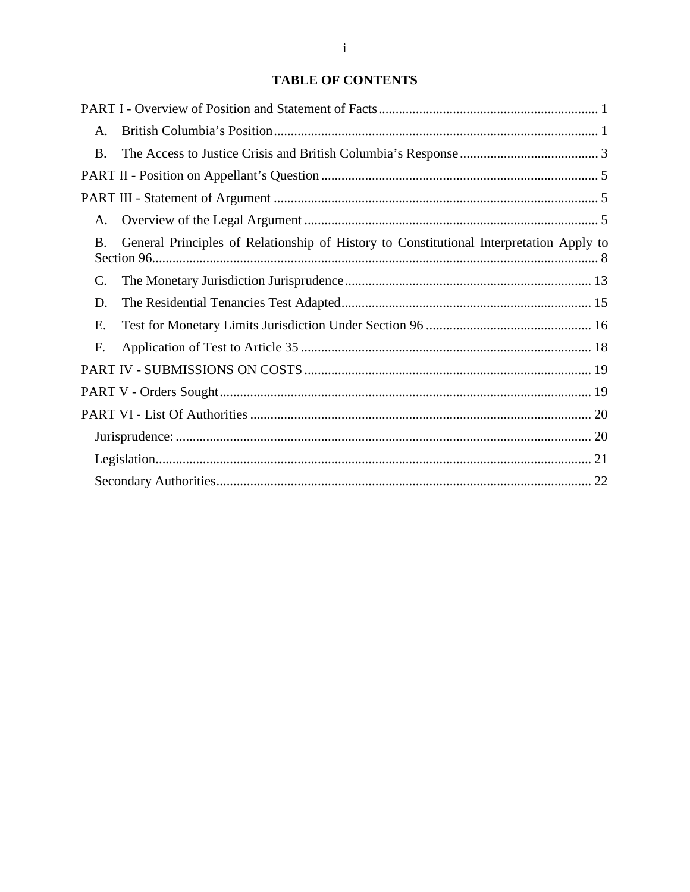#### TABLE OF CONTENTS **TABLE OF CONTENTS**

| A.             |                                                                                         |
|----------------|-----------------------------------------------------------------------------------------|
| <b>B.</b>      |                                                                                         |
|                |                                                                                         |
|                |                                                                                         |
| $\mathsf{A}$ . |                                                                                         |
| <b>B</b> .     | General Principles of Relationship of History to Constitutional Interpretation Apply to |
| C.             |                                                                                         |
| D.             |                                                                                         |
| Ε.             |                                                                                         |
| F.             |                                                                                         |
|                |                                                                                         |
|                |                                                                                         |
|                |                                                                                         |
|                |                                                                                         |
|                |                                                                                         |
|                |                                                                                         |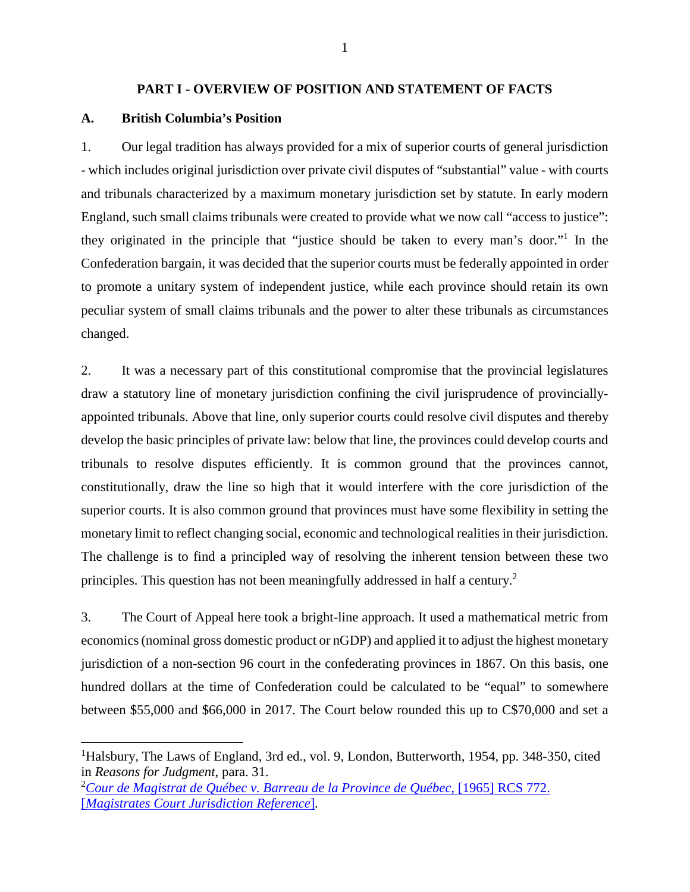#### PART I - OVERVIEW OF POSITION AND STATEMENT OF FACTS **PART I - OVERVIEW OF POSITION AND STATEMENT OF FACTS**

#### A. British Columbia's Position **A. British Columbia's Position**

1. Our legal tradition has always provided for a mix of superior courts of general jurisdiction 1. Our legal tradition has always provided for a mix of superior courts of general jurisdiction<br>- which includes original jurisdiction over private civil disputes of "substantial" value - with courts and tribunals characterized by a maximum monetary jurisdiction set by statute. In early modern England, such small claims tribunals were created to provide what we now call "access to justice": they originated in the principle that "justice should be taken to every man's door."<sup>1</sup> In the Confederation bargain, it was decided that the superior courts must be federally appointed in order to promote a unitary system of independent justice, while each province should retain its own Confederation bargain, it was decided that the superior courts must be federally appointed in order<br>to promote a unitary system of independent justice, while each province should retain its own<br>peculiar system of small cla changed. and tribunals characterized by a maximum monetary jurisdiction set by statute. In early modern<br>England, such small claims tribunals were created to provide what we now call "access to justice":<br>they originated in the princ

2. It was a necessary part of this constitutional compromise that the provincial legislatures changed.<br>2. It was a necessary part of this constitutional compromise that the provincial legislatures<br>draw a statutory line of monetary jurisdiction confining the civil jurisprudence of provinciallyappointed tribunals. Above that line, only superior courts could resolve civil disputes and thereby appointed tribunals. Above that line, only superior courts could resolve civil disputes and thereby develop the basic principles of private law: below that line, the provinces could develop courts and tribunals to resolve disputes efficiently. It is common ground that the provinces cannot, constitutionally, draw the line so high that it would interfere with the core jurisdiction of the superior courts. It is also common ground that provinces must have some flexibility in setting the monetary limit to reflect changing social, economic and technological realities in their jurisdiction. The challenge is to find a principled way of resolving the inherent tension between these two superior courts. It is also common ground that provinces must have some flexibility in setting the<br>monetary limit to reflect changing social, economic and technological realities in their jurisdiction.<br>The challenge is to develop the basic principles of private law: below that line, the provinces could develop courts and<br>tribunals to resolve disputes efficiently. It is common ground that the provinces cannot,<br>constitutionally, draw the line

3. The Court of Appeal here took a bright-line approach. It used a mathematical metric from economics (nominal gross domestic product or nGDP) and applied it to adjust the highest monetary jurisdiction of a non-section 96 court in the confederating provinces in 1867. On this basis, one hundred dollars at the time of Confederation could be calculated to be "equal" to somewhere<br>between \$55,000 and \$66,000 in 2017. The Court below rounded this up to C\$70,000 and set a between \$55,000 and \$66,000 in 2017. The Court below rounded this up to C\$70,000 and set a 3. The Court of Appeal here took a bright-line approach. It used a mathematical metric from<br>economics (nominal gross domestic product or nGDP) and applied it to adjust the highest monetary<br>jurisdiction of a non-section 96

<sup>&</sup>lt;sup>1</sup>Halsbury, The Laws of England, 3rd ed., vol. 9, London, Butterworth, 1954, pp. 348-350, cited in *Reasons for Judgment*, para. 31. in Reasons for Judgment, para. 31.

[<sup>2</sup>Cour de Magistrat de Quebec v. Barreau de la Province de Quebec, \[1965\] RCS 772.](http://canlii.ca/t/227mg)  <sup>2</sup>*Cour de Magistrat de Québec v. Barreau de la Province de Québec*, [1965] RCS 772. ['Magistrates Court Jurisdiction Reference\],](http://canlii.ca/t/227mg)  [*Magistrates Court Jurisdiction Reference*]*.*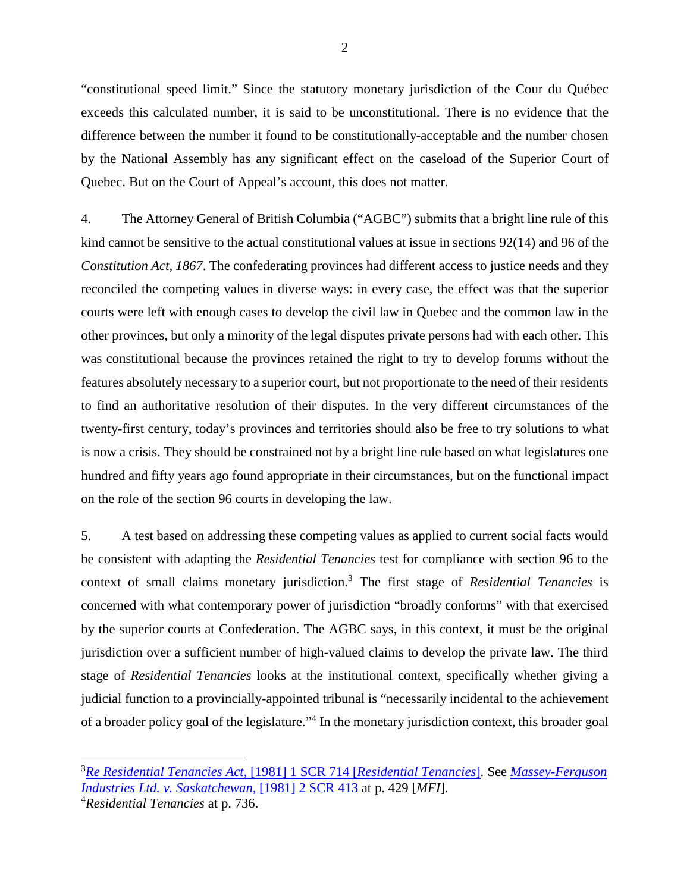"constitutional speed limit." Since the statutory monetary jurisdiction of the Cour du Quebec exceeds this calculated number, it is said to be unconstitutional. There is no evidence that the <sup>2</sup><br>
"constitutional speed limit." Since the statutory monetary jurisdiction of the Cour du Québec<br>
exceeds this calculated number, it is said to be unconstitutional. There is no evidence that the<br>
difference between the n by the National Assembly has any significant effect on the caseload of the Superior Court of by the National Assembly has any significant effect on the caseload of the Superior Court of Quebec. But on the Court of Appeal's account, this does not matter.

4. The Attorney General of British Columbia ("AGBC") submits that a bright line rule of this Quebec. But on the Court of Appeal's account, this does not matter.<br>4. The Attorney General of British Columbia ("AGBC") submits that a bright line rule of this<br>kind cannot be sensitive to the actual constitutional values Constitution Act, 1867. The confederating provinces had different access to justice needs and they reconciled the competing values in diverse ways: in every case, the effect was that the superior courts were left with enough cases to develop the civil law in Quebec and the common law in the other provinces, but only a minority of the legal disputes private persons had with each other. This was constitutional because the provinces retained the right to try to develop forums without the features absolutely necessary to a superior court, but not proportionate to the need of their residents to find an authoritative resolution of their disputes. In the very different circumstances of the twenty-first century, today's provinces and territories should also be free to try solutions to what to find an authoritative resolution of their disputes. In the very different circumstances of the<br>twenty-first century, today's provinces and territories should also be free to try solutions to what<br>is now a crisis. They s hundred and fifty years ago found appropriate in their circumstances, but on the functional impact on the role of the section 96 courts in developing the law. Constitution Act, 1867. The confederating provinces had different access to justice needs and they reconciled the competing values in diverse ways: in every case, the effect was that the superior courts were left with enou

5. A test based on addressing these competing values as applied to current social facts would be consistent with adapting the *Residential Tenancies* test for compliance with section 96 to the hundred and fifty years ago found appropriate in their circumstances, but on the functional impact<br>on the role of the section 96 courts in developing the law.<br>5. A test based on addressing these competing values as applied concerned with what contemporary power of jurisdiction "broadly conforms" with that exercised by the superior courts at Confederation. The AGBC says, in this context, it must be the original jurisdiction over a sufficient number of high-valued claims to develop the private law. The third stage of Residential Tenancies looks at the institutional context, specifically whether giving a judicial function to a provincially-appointed tribunal is "necessarily incidental to the achievement of a broader policy goal of the legislature."<sup>4</sup> In the monetary jurisdiction context, this broader goal context of small claims monetary jurisdiction.<sup>3</sup> The first stage of *Residential Tenancies* is<br>concerned with what contemporary power of jurisdiction "broadly conforms" with that exercised<br>by the superior courts at Confed jurisdiction over a sufficient number of high-valued claims to develop the private law. The third<br>stage of *Residential Tenancies* looks at the institutional context, specifically whether giving a<br>judicial function to a pr

<sup>&</sup>lt;sup>3</sup> Re Residential Tenancies Act, [1981] 1 SCR 714 [Residential Tenancies]. See Massey-Ferguson<br>[Industries Ltd. v. Saskatchewan](https://www.canlii.org/en/ca/scc/doc/1981/1981canlii24/1981canlii24.html), [1981] 2 SCR 413 at p. 429 [MFI]. [Industries Ltd. v. Saskatchewan, \[1981\] 2 SCR 413](https://www.canlii.org/en/ca/scc/doc/1981/1981canlii209/1981canlii209.html) at p. 429 [MF1].

<sup>4</sup>Residential Tenancies at p. 736. <sup>4</sup>*Residential Tenancies* at p. 736.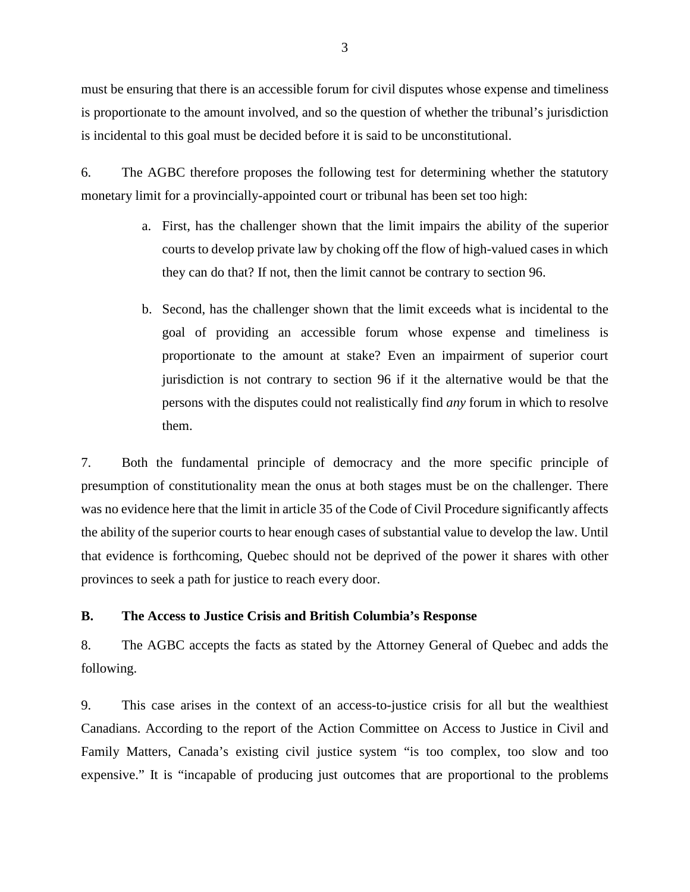must be ensuring that there is an accessible forum for civil disputes whose expense and timeliness<br>is proportionate to the amount involved, and so the question of whether the tribunal's jurisdiction<br>is incidental to this g is proportionate to the amount involved, and so the question of whether the tribunal's jurisdiction is incidental to this goal must be decided before it is said to be unconstitutional.

6. The AGBC therefore proposes the following test for determining whether the statutory monetary limit for a provincially-appointed court or tribunal has been set too high: monetary limit for a provincially-appointed court or tribunal has been set too high:

- a. First, has the challenger shown that the limit impairs the ability of the superior courts to develop private law by choking off the flow of high-valued cases in which they can do that? If not, then the limit cannot be contrary to section 96. a. First, has the challenger shown that the limit impairs the ability of the superior<br>courts to develop private law by choking off the flow of high-valued cases in which<br>they can do that? If not, then the limit cannot be c
- b. Second, has the challenger shown that the limit exceeds what is incidental to the goal of providing an accessible forum whose expense and timeliness is proportionate to the amount at stake? Even an impairment of superior court jurisdiction is not contrary to section 96 if it the alternative would be that the persons with the disputes could not realistically find any forum in which to resolve them. proportionate to the amount at stake? Even an impairment of superior court<br>jurisdiction is not contrary to section 96 if it the alternative would be that the<br>persons with the disputes could not realistically find *any* for

them.<br>
7. Both the fundamental principle of democracy and the more specific principle of presumption of constitutionality mean the onus at both stages must be on the challenger. There presumption of constitutionality mean the onus at both stages must be on the challenger. There was no evidence here that the limit in article 35 of the Code of Civil Procedure significantly affects the ability of the superior courts to hear enough cases of substantial value to develop the law. Until that evidence is forthcoming, Quebec should not be deprived of the power it shares with other provinces to seek a path for justice to reach every door. was no evidence here that the limit in article 35 of the Code of Civil Procedure significantly affects<br>the ability of the superior courts to hear enough cases of substantial value to develop the law. Until<br>that evidence is

#### B. The Access to Justice Crisis and British Columbia's Response **B. The Access to Justice Crisis and British Columbia's Response**

8. The AGBC accepts the facts as stated by the Attorney General of Quebec and adds the 8. The AGBC accepts the facts as stated by the Attorney General of Quebec and adds the following. following.

9. This case arises in the context of an access-to-justice crisis for all but the wealthiest 9. This case arises in the context of an access-to-justice crisis for all but the wealthiest<br>Canadians. According to the report of the Action Committee on Access to Justice in Civil and Family Matters, Canada's existing civil justice system "is too complex, too slow and too expensive." It is "incapable of producing just outcomes that are proportional to the problems expensive." It is "incapable of producing just outcomes that are proportional to the problems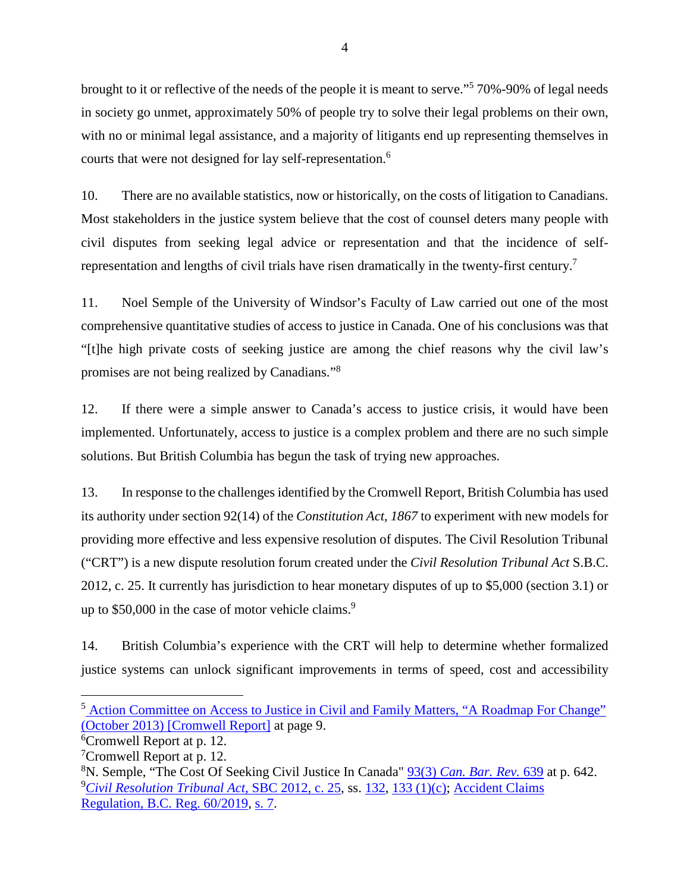4<br>brought to it or reflective of the needs of the people it is meant to serve."<sup>5</sup> 70%-90% of legal needs in society go unmet, approximately 50% of people try to solve their legal problems on their own, brought to it or reflective of the needs of the people it is meant to serve."<sup>5</sup> 70%-90% of legal needs<br>in society go unmet, approximately 50% of people try to solve their legal problems on their own,<br>with no or minimal le courts that were not designed for lay self-representation.<sup>6</sup>

10. There are no available statistics, now or historically, on the costs of litigation to Canadians. Most stakeholders in the justice system believe that the cost of counsel deters many people with civil disputes from seeking legal advice or representation and that the incidence of selfrepresentation and lengths of civil trials have risen dramatically in the twenty-first century.<sup>7</sup> 10. There are no available statistics, now or historically, on the costs of litigation to Canadians.<br>Most stakeholders in the justice system believe that the cost of counsel deters many people with<br>civil disputes from seek

11. Noel Semple of the University of Windsor's Faculty of Law carried out one of the most 11. Noel Semple of the University of Windsor's Faculty of Law carried out one of the most<br>comprehensive quantitative studies of access to justice in Canada. One of his conclusions was that "[t]he high private costs of seeking justice are among the chief reasons why the civil law's promises are not being realized by Canadians."<sup>8</sup> promises are not being realized by Canadians."8

12. If there were a simple answer to Canada's access to justice crisis, it would have been 12. If there were a simple answer to Canada's access to justice crisis, it would have been implemented. Unfortunately, access to justice is a complex problem and there are no such simple<br>solutions. But British Columbia has begun the task of trying new approaches.<br>13. In response to the challenges identified by t solutions. But British Columbia has begun the task of trying new approaches.

13. In response to the challenges identified by the Cromwell Report, British Columbia has used its authority under section 92(14) of the Constitution Act, 1867 to experiment with new models for providing more effective and less expensive resolution of disputes. The Civil Resolution Tribunal ("CRT") is a new dispute resolution forum created under the Civil Resolution Tribunal Act S.B.C. 2012, c. 25. It currently has jurisdiction to hear monetary disputes of up to \$5,000 (section 3.1) or up to  $$50,000$  in the case of motor vehicle claims.<sup>9</sup> its authority under section 92(14) of the *Constitution Act*, 1867 to experiment with new models for providing more effective and less expensive resolution of disputes. The Civil Resolution Tribunal ("CRT") is a new dispu

14. British Columbia's experience with the CRT will help to determine whether formalized 14. British Columbia's experience with the CRT will help to determine whether formalized<br>justice systems can unlock significant improvements in terms of speed, cost and accessibility

 $\overline{a}$ 

<sup>&</sup>lt;sup>5</sup> Action Committee on Access to Justice in Civil and Family Matters, "A Roadmap For Change" (October 2013) [Cromwell Report] at page 9. [\(October 2013\) \[Cromwell Report\]](http://www.cfcj-fcjc.org/sites/default/files/docs/2013/AC_Report_English_Final.pdf) at page 9.

<sup>6</sup>Cromwell Report at p. 12. <sup>6</sup>Cromwell Report at p. 12.

<sup>7</sup>Cromwell Report at p. 12. <sup>7</sup>Cromwell Report at p. 12.

<sup>8</sup>N. Semple, "The Cost Of Seeking Civil Justice In Canada" [93\(3\) Can. Bar. Rev. 639](https://scholar.uwindsor.ca/lawpub/36?utm_source=scholar.uwindsor.ca%2Flawpub%2F36&utm_medium=PDF&utm_campaign=PDFCoverPages) at p. 642. <sup>8</sup>N. Semple, "The Cost Of Seeking Civil Justice In Canada" 93(3) *Can. Bar. Rev.* 639 at p. 642. 9Civil Resolution Tribunal Act, SBC 2012, c. 25, ss. 132, 133 (1)(c); Accident Claims <sup>9</sup>*Civil Resolution Tribunal Act,* [SBC 2012, c. 25,](http://canlii.ca/t/53p49) ss. [132,](http://canlii.ca/t/53p49#sec132) [133 \(1\)\(c\);](http://canlii.ca/t/53p49#sec133) [Accident Claims Regulation, B.C. Reg. 60/2019,](http://canlii.ca/t/53hh7) [s. 7.](http://canlii.ca/t/53hh7#sec7) Regulation, B.C. Reg. 60/2019, s. 7.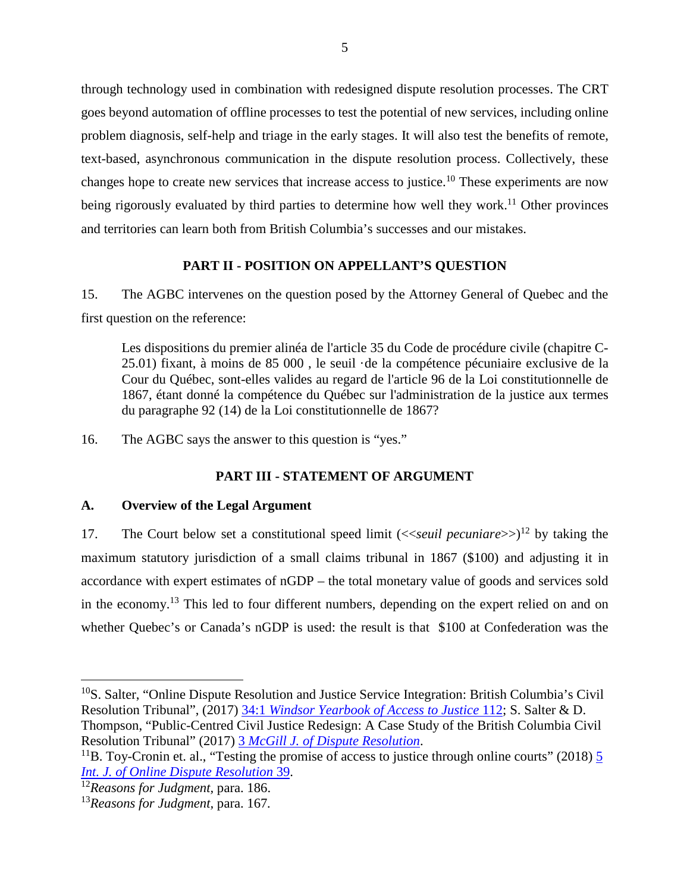through technology used in combination with redesigned dispute resolution processes. The CRT goes beyond automation of offline processes to test the potential of new services, including online problem diagnosis, self-help and triage in the early stages. It will also test the benefits of remote, text-based, asynchronous communication in the dispute resolution process. Collectively, these text-based, asynchronous communication in the dispute resolution process. Collectively, these<br>changes hope to create new services that increase access to justice.<sup>10</sup> These experiments are now being rigorously evaluated by third parties to determine how well they work.<sup>11</sup> Other provinces<br>and territories can learn both from British Columbia's successes and our mistakes. and territories can learn both from British Columbia's successes and our mistakes. through technology used in combination with redesigned dispute resolution processes. The CRT<br>goes beyond automation of offline processes to test the potential of new services, including online<br>problem diagnosis, self-help

#### PART II - POSITION ON APPELLANT'S QUESTION **PART II - POSITION ON APPELLANT'S QUESTION**

15. The AGBC intervenes on the question posed by the Attorney General of Quebec and the 15. The AGBC intervenes on the question posed by the Attorney General of Quebec and the first question on the reference: first question on the reference:

Les dispositions du premier alinéa de l'article 35 du Code de procédure civile (chapitre C-25.01) fixant, a moins de 85 000 , le seuil •de la competence pecuniaire exclusive de la Cour du Québec, sont-elles valides au regard de l'article 96 de la Loi constitutionnelle de 1867, étant donné la compétence du Québec sur l'administration de la justice aux termes du paragraphe 92 (14) de la Loi constitutionnelle de 1867? 25.01) fixant, à moins de 85 000, le seuil  $\cdot$ de la compétence pécuniaire exclusive de la Cour du Québec, sont-elles valides au regard de l'article 96 de la Loi constitutionnelle de 1867, étant donné la compétence du Québ

16. The AGBC says the answer to this question is "yes."

# PART III - STATEMENT OF ARGUMENT **PART III - STATEMENT OF ARGUMENT A. Overview of the Legal Argument**

#### A. Overview of the Legal Argument

17. The Court below set a constitutional speed limit (<<seuil pecuniare>>)<sup>12</sup> by taking the maximum statutory jurisdiction of a small claims tribunal in 1867 (\$100) and adjusting it in accordance with expert estimates of nGDP — the total monetary value of goods and services sold maximum statutory jurisdiction of a small claims tribunal in 1867 (\$100) and adjusting it in<br>accordance with expert estimates of nGDP – the total monetary value of goods and services sold<br>in the economy.<sup>13</sup> This led to fo whether Quebec's or Canada's nGDP is used: the result is that \$100 at Confederation was the  $\overline{\phantom{a}}$ 

<sup>&</sup>lt;sup>10</sup>S. Salter, "Online Dispute Resolution and Justice Service Integration: British Columbia's Civil Resolution Tribunal", (2017)  $34:1$  *Windsor Yearbook of Access to Justice* 112; S. Salter & D. Resolution Tribunal", (2017) [34:1 Windsor Yearbook of Access to Justice 112;](https://id.erudit.org/iderudit/1043018ar) S. Salter & D. Thompson, "Public-Centred Civil Justice Redesign: A Case Study of the British Columbia Civil Resolution Tribunal" (2017) 3 *McGill J. of Dispute Resolution*. Resolution Tribunal" (2017) [3 McGill J. of Dispute Resolution.](https://ssrn.com/abstract=2955796)

<sup>&</sup>lt;sup>11</sup>B. Toy-Cronin et. al., "Testing the promise of access to justice through online courts" (2018)  $\frac{5}{5}$ [Int. J. of Online Dispute Resolution 39.](https://doi.org/10.5553/ijodr/235250022018005102005) *Int. J. of Online Dispute Resolution* 39.

<sup>12</sup>Reasons for Judgment, para. 186. <sup>12</sup>*Reasons for Judgment,* para. 186.

<sup>13</sup>Reasons for Judgment, para. 167. <sup>13</sup>*Reasons for Judgment,* para. 167*.*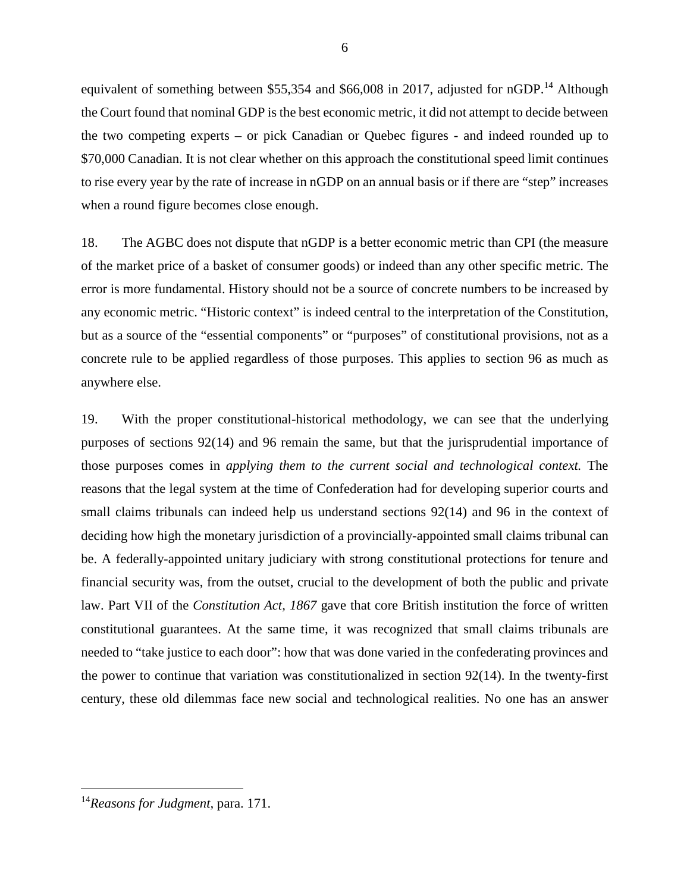equivalent of something between \$55,354 and \$66,008 in 2017, adjusted for nGDP.<sup>14</sup> Although<br>the Court found that nominal GDP is the best economic metric, it did not attempt to decide between<br>the two competing experts – or the Court found that nominal GDP is the best economic metric, it did not attempt to decide between the two competing experts — or pick Canadian or Quebec figures - and indeed rounded up to \$70,000 Canadian. It is not clear whether on this approach the constitutional speed limit continues to rise every year by the rate of increase in nGDP on an annual basis or if there are "step" increases when a round figure becomes close enough.

18. The AGBC does not dispute that nGDP is a better economic metric than CPI (the measure of the market price of a basket of consumer goods) or indeed than any other specific metric. The error is more fundamental. History should not be a source of concrete numbers to be increased by any economic metric. "Historic context" is indeed central to the interpretation of the Constitution, but as a source of the "essential components" or "purposes" of constitutional provisions, not as a concrete rule to be applied regardless of those purposes. This applies to section 96 as much as anywhere else. \$70,000 Canadian. It is not clear whether on this approach the constitutional speed limit continues<br>to rise every year by the rate of increase in nGDP on an annual basis or if there are "step" increases<br>when a round figure but as a source of the "essential components" or "purposes" of constitutional provisions, not as a concrete rule to be applied regardless of those purposes. This applies to section 96 as much as anywhere else.

19. With the proper constitutional-historical methodology, we can see that the underlying 19. With the proper constitutional-historical methodology, we can see that the underlying purposes of sections 92(14) and 96 remain the same, but that the jurisprudential importance of purposes of sections 92(14) and 96 remain the same, but that the jurisprudential importance of those purposes comes in *applying them to the current social and technological context*. The reasons that the legal system at the time of Confederation had for developing superior courts and reasons that the legal system at the time of Confederation had for developing superior courts and<br>small claims tribunals can indeed help us understand sections 92(14) and 96 in the context of deciding how high the monetary jurisdiction of a provincially-appointed small claims tribunal can be. A federally-appointed unitary judiciary with strong constitutional protections for tenure and financial security was, from the outset, crucial to the development of both the public and private law. Part VII of the *Constitution Act*, 1867 gave that core British institution the force of written constitutional guarantees. At the same time, it was recognized that small claims tribunals are needed to "take justice to each door": how that was done varied in the confederating provinces and the power to continue that variation was constitutionalized in section 92(14). In the twenty-first century, these old dilemmas face new social and technological realities. No one has an answer deciding how high the monetary jurisdiction of a provincially-appointed small claims tribunal can<br>be. A federally-appointed unitary judiciary with strong constitutional protections for tenure and<br>financial security was, fr needed to "take justice to each door": how that was done varied in the confederating provinces and<br>the power to continue that variation was constitutionalized in section 92(14). In the twenty-first<br>century, these old dilem

 $\overline{a}$ 

<sup>14</sup>Reasons for Judgment, para. 171. <sup>14</sup>*Reasons for Judgment,* para. 171.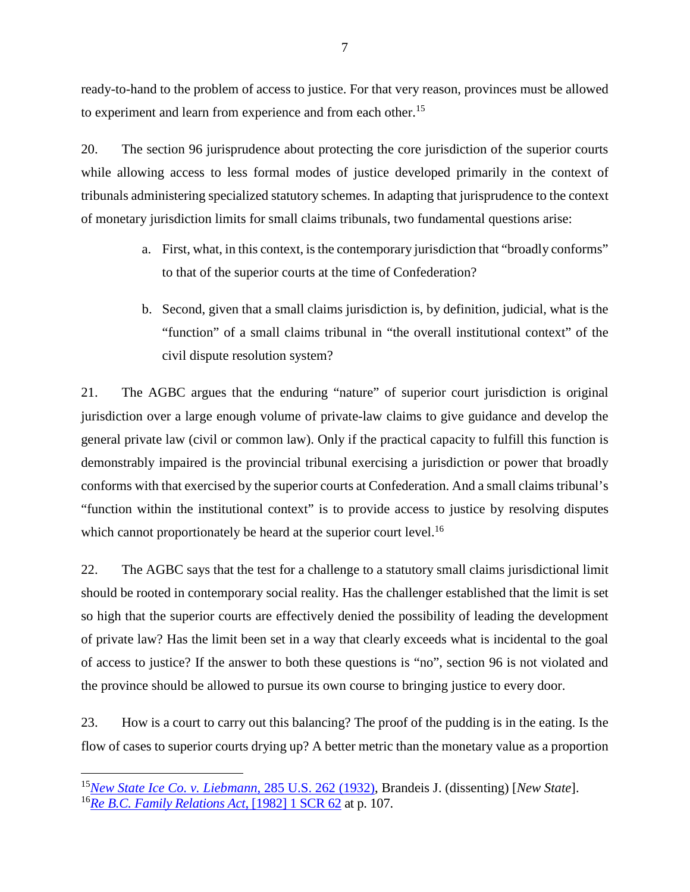ready-to-hand to the problem of access to justice. For that very reason, provinces must be allowed<br>to experiment and learn from experience and from each other.<sup>15</sup> to experiment and learn from experience and from each other.<sup>15</sup>

20. The section 96 jurisprudence about protecting the core jurisdiction of the superior courts 20. The section 96 jurisprudence about protecting the core jurisdiction of the superior courts while allowing access to less formal modes of justice developed primarily in the context of while allowing access to less formal modes of justice developed primarily in the context of tribunals administering specialized statutory schemes. In adapting that jurisprudence to the context of monetary jurisdiction limits for small claims tribunals, two fundamental questions arise: tribunals administering specialized statutory schemes. In adapting that jurisprudence to the context<br>of monetary jurisdiction limits for small claims tribunals, two fundamental questions arise:<br>a. First, what, in this cont

- a. First, what, in this context, is the contemporary jurisdiction that "broadly conforms" to that of the superior courts at the time of Confederation?
- b. Second, given that a small claims jurisdiction is, by definition, judicial, what is the "function" of a small claims tribunal in "the overall institutional context" of the civil dispute resolution system? to that of the superior courts at the time of Confederation?<br>b. Second, given that a small claims jurisdiction is, by definition, judicial, what is the<br>"function" of a small claims tribunal in "the overall institutional co

21. The AGBC argues that the enduring "nature" of superior court jurisdiction is original civil dispute resolution system?<br>
21. The AGBC argues that the enduring "nature" of superior court jurisdiction is original<br>
jurisdiction over a large enough volume of private-law claims to give guidance and develop the general private law (civil or common law). Only if the practical capacity to fulfill this function is demonstrably impaired is the provincial tribunal exercising a jurisdiction or power that broadly conforms with that exercised by the superior courts at Confederation. And a small claims tribunal's "function within the institutional context" is to provide access to justice by resolving disputes<br>which cannot proportionately be heard at the superior court level.<sup>16</sup> which cannot proportionately be heard at the superior court level.<sup>16</sup> general private law (civil or common law). Only if the practical capacity to fulfill this function is<br>demonstrably impaired is the provincial tribunal exercising a jurisdiction or power that broadly<br>conforms with that exer

22. The AGBC says that the test for a challenge to a statutory small claims jurisdictional limit should be rooted in contemporary social reality. Has the challenger established that the limit is set so high that the superior courts are effectively denied the possibility of leading the development of private law? Has the limit been set in a way that clearly exceeds what is incidental to the goal of access to justice? If the answer to both these questions is "no", section 96 is not violated and the province should be allowed to pursue its own course to bringing justice to every door. 22. The AGBC says that the test for a challenge to a statutory small claims jurisdictional limit<br>should be rooted in contemporary social reality. Has the challenger established that the limit is set<br>so high that the superi

23. How is a court to carry out this balancing? The proof of the pudding is in the eating. Is the the province should be allowed to pursue its own course to bringing justice to every door.<br>23. How is a court to carry out this balancing? The proof of the pudding is in the eating. Is the<br>flow of cases to superior courts

<sup>1</sup>[5New State Ice Co. v. Liebmann, 285 U.S. 262 \(1932\),](https://supreme.justia.com/cases/federal/us/285/262/) Brandeis J. (dissenting) [New State]. <sup>15</sup>*New State Ice Co. v. Liebmann*, 285 U.S. 262 (1932), Brandeis J. (dissenting) [*New State*]. 1[6Re B.C. Family Relations Act, \[1982\] 1 SCR 62](https://www.canlii.org/en/ca/scc/doc/1982/1982canlii155/1982canlii155.html) at p. 107. <sup>16</sup>*Re B.C. Family Relations Act*, [1982] 1 SCR 62 at p. 107.  $\overline{a}$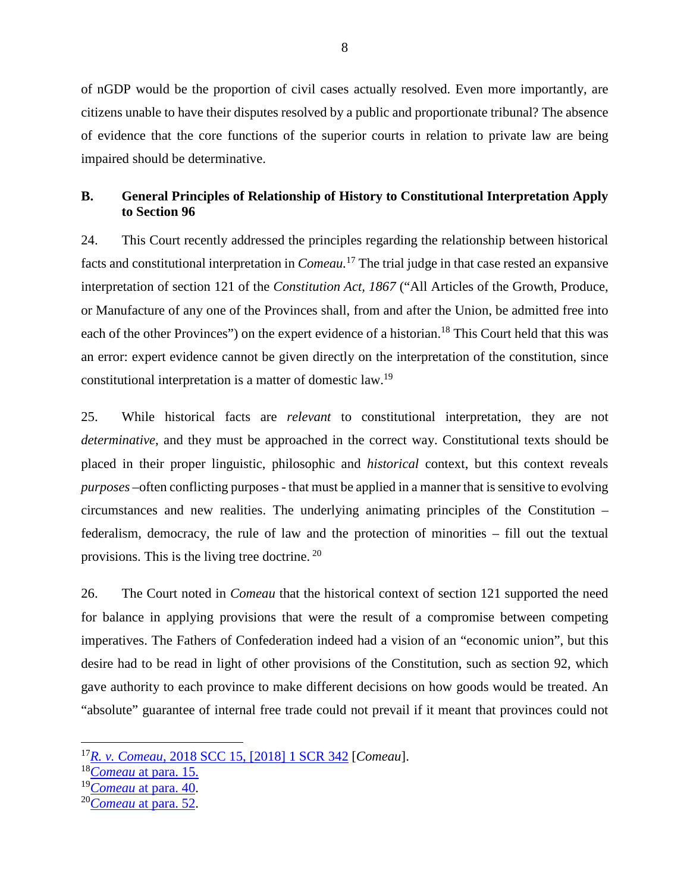of nGDP would be the proportion of civil cases actually resolved. Even more importantly, are citizens unable to have their disputes resolved by a public and proportionate tribunal? The absence of nGDP would be the proportion of civil cases actually resolved. Even more importantly, are<br>citizens unable to have their disputes resolved by a public and proportionate tribunal? The absence<br>of evidence that the core fun impaired should be determinative. impaired should be determinative.

#### B. General Principles of Relationship of History to Constitutional Interpretation Apply **B. General Principles of Relationship of History to Constitutional Interpretation Apply to Section 96** to Section 96

24. This Court recently addressed the principles regarding the relationship between historical 24. This Court recently addressed the principles regarding the relationship between historical facts and constitutional interpretation in *Comeau*.<sup>17</sup> The trial judge in that case rested an expansive<br>interpretation of section 121 of the *Constitution Act*, 1867 ("All Articles of the Growth, Produce,<br>or Manufacture interpretation of section 121 of the Constitution Act, 1867 ("All Articles of the Growth, Produce, or Manufacture of any one of the Provinces shall, from and after the Union, be admitted free into each of the other Provinces") on the expert evidence of a historian.<sup>18</sup> This Court held that this was<br>an error: expert evidence cannot be given directly on the interpretation of the constitution, since<br>constitutional inte an error: expert evidence cannot be given directly on the interpretation of the constitution, since constitutional interpretation is a matter of domestic law.19

25. While historical facts are relevant to constitutional interpretation, they are not 25. While historical facts are *relevant* to constitutional interpretation, they are not determinative, and they must be approached in the correct way. Constitutional texts should be *determinative*, and they must be approached in the correct way. Constitutional texts should be placed in their proper linguistic, philosophic and *historical* context, but this context reveals purposes —often conflicting purposes - that must be applied in a manner that is sensitive to evolving *purposes* –often conflicting purposes - that must be applied in a manner that is sensitive to evolving circumstances and new realities. The underlying animating principles of the Constitution — circumstances and new realities. The underlying animating principles of the Constitution – federalism, democracy, the rule of law and the protection of minorities – fill out the textual provisions. This is the living tree doctrine.<sup>20</sup> provisions. This is the living tree doctrine. <sup>20</sup>

26. The Court noted in Comeau that the historical context of section 121 supported the need for balance in applying provisions that were the result of a compromise between competing imperatives. The Fathers of Confederation indeed had a vision of an "economic union", but this 26. The Court noted in *Comeau* that the historical context of section 121 supported the need<br>for balance in applying provisions that were the result of a compromise between competing<br>imperatives. The Fathers of Confederat gave authority to each province to make different decisions on how goods would be treated. An "absolute" guarantee of internal free trade could not prevail if it meant that provinces could not gave authority to each province to make different decisions on how goods would be treated. An "absolute" guarantee of internal free trade could not prevail if it meant that provinces could not

<sup>1</sup>[7R. v. Comeau, 2018 SCC 15, \[2018\] 1 SCR 342](http://canlii.ca/t/hrkm6) [Comeau]. <sup>17</sup>*R. v. Comeau*, 2018 SCC 15, [2018] 1 SCR 342[*Comeau*].

<sup>18</sup>Comeau [at para. 15.](http://canlii.ca/t/hrkm6#par15)  <sup>18</sup>*Comeau* at para. 15.

<sup>1</sup>[9Comeau at para. 40.](http://canlii.ca/t/hrkm6#par40) <sup>19</sup>*Comeau* at para. 40.

<sup>2</sup>[0Comeau at para. 52.](http://canlii.ca/t/hrkm6#par52) <sup>20</sup>*Comeau* at para. 52.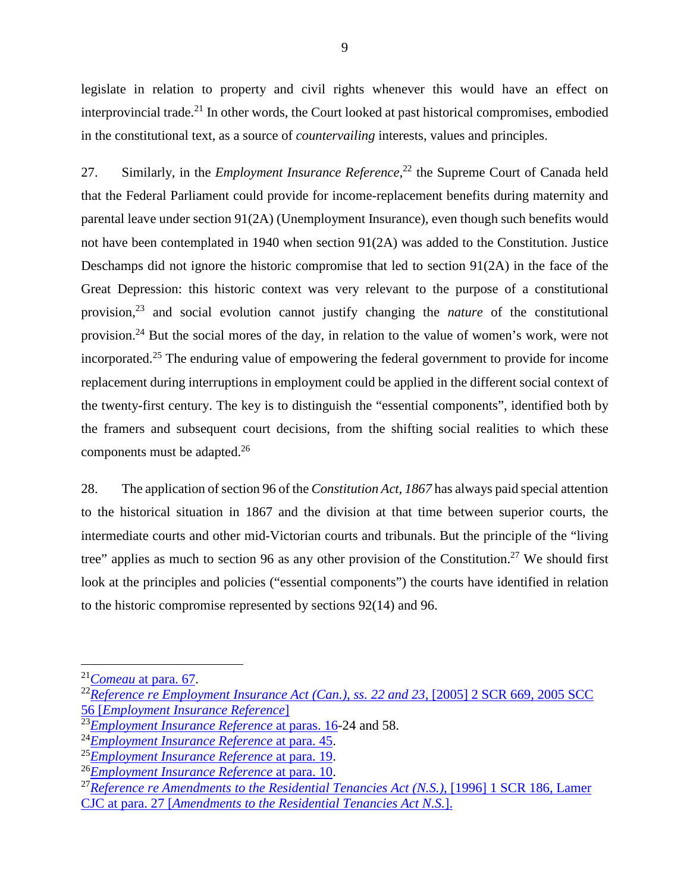legislate in relation to property and civil rights whenever this would have an effect on legislate in relation to property and civil rights whenever this would have an effect on<br>interprovincial trade.<sup>21</sup> In other words, the Court looked at past historical compromises, embodied in the constitutional text, as a source of countervailing interests, values and principles. in the constitutional text, as a source of *countervailing* interests, values and principles.

27. Similarly, in the *Employment Insurance Reference*,<sup>22</sup> the Supreme Court of Canada held that the Federal Parliament could provide for income-replacement benefits during maternity and parental leave under section 91(2A) (Unemployment Insurance), even though such benefits would not have been contemplated in 1940 when section 91(2A) was added to the Constitution. Justice Deschamps did not ignore the historic compromise that led to section 91(2A) in the face of the Great Depression: this historic context was very relevant to the purpose of a constitutional not have been contemplated in 1940 when section 91(2A) was added to the Constitution. Justice<br>Deschamps did not ignore the historic compromise that led to section 91(2A) in the face of the<br>Great Depression: this historic c provision.24 But the social mores of the day, in relation to the value of women's work, were not incorporated.<sup>25</sup> The enduring value of empowering the federal government to provide for income replacement during interruptions in employment could be applied in the different social context of the twenty-first century. The key is to distinguish the "essential components", identified both by the framers and subsequent court decisions, from the shifting social realities to which these components must be adapted.26 27. Similarly, in the *Employment Insurance Reference*,<sup>22</sup> the Supreme Court of Canada held<br>that the Federal Parliament could provide for income-replacement benefits during maternity and<br>parental leave under section 91(2 provision.<sup>24</sup> But the social mores of the day, in relation to the value of women's work, were not<br>incorporated.<sup>25</sup> The enduring value of empowering the federal government to provide for income<br>replacement during interrup the twenty-first century. The key is to distinguish the "essential components", identified both by the framers and subsequent court decisions, from the shifting social realities to which these components must be adapted.<sup>2</sup>

28. The application of section 96 of the Constitution Act, 1867 has always paid special attention to the historical situation in 1867 and the division at that time between superior courts, the intermediate courts and other mid-Victorian courts and tribunals. But the principle of the "living tree" applies as much to section 96 as any other provision of the Constitution.<sup>27</sup> We should first look at the principles and policies ("essential components") the courts have identified in relation to the historic compromise represented by sections 92(14) and 96. 28. The application of section 96 of the *Constitution Act, 1867* has always paid special attention<br>to the historical situation in 1867 and the division at that time between superior courts, the<br>intermediate courts and ot

 $\overline{a}$ 

<sup>21</sup>[Comeau at para. 67.](http://canlii.ca/t/hrkm6#par67) <sup>21</sup>*Comeau* at para. 67.

<sup>&</sup>lt;sup>22</sup>Reference re Employment Insurance Act (Can.), ss. 22 and 23, [2005] 2 SCR 669, 2005 SCC<br>5[6 \[](http://canlii.ca/t/1lshd)Employment Insurance Reference] [56 \[Employment Insurance Referencel](http://canlii.ca/t/1lshd) 

<sup>2</sup>[3Employment Insurance Reference at paras. 16-](http://canlii.ca/t/1lshd#par16)24 and 58. <sup>23</sup>*Employment Insurance Reference* at paras. 16-24 and 58.

<sup>2</sup>[4Employment Insurance Reference at para. 45.](http://canlii.ca/t/1lshd#par45) <sup>24</sup>*Employment Insurance Reference* at para. 45.

<sup>2</sup>[5Employment Insurance Reference at para. 19.](http://canlii.ca/t/1lshd#par19) <sup>25</sup>*Employment Insurance Reference* at para. 19.

<sup>&</sup>lt;sup>26</sup> *Employment Insurance Reference* at para. 10.

<sup>&</sup>lt;sup>27</sup> Reference re Amendments to the Residential Tenancies Act (N.S.), [1996] 1 SCR 186, Lamer [CJC at para. 27 \[Amendments to the Residential Tenancies Act N.S.\].](http://canlii.ca/t/1frcn#par27)  CJC at para. 27 [*Amendments to the Residential Tenancies Act N.S.*].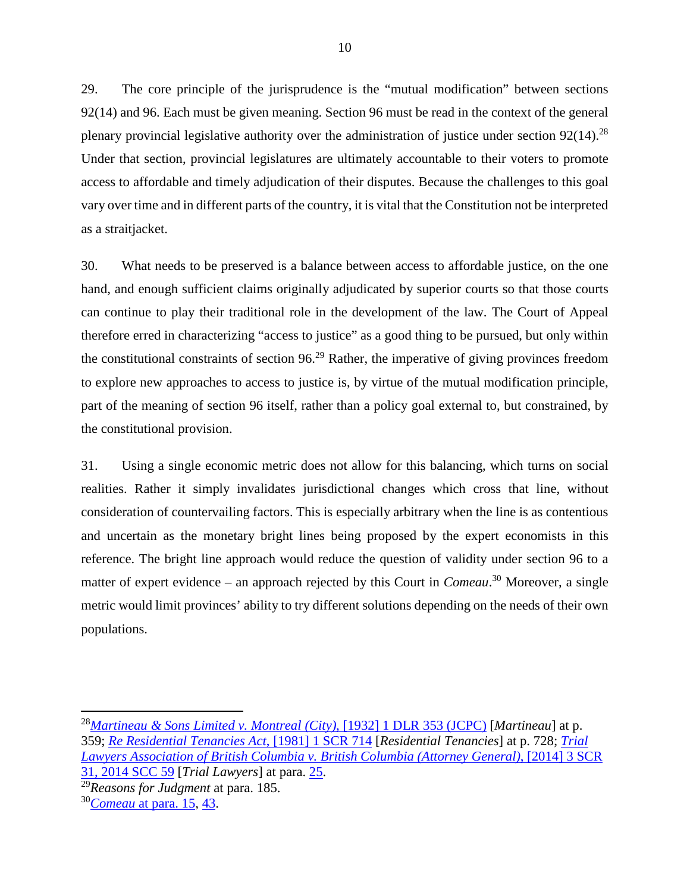29. The core principle of the jurisprudence is the "mutual modification" between sections 92(14) and 96. Each must be given meaning. Section 96 must be read in the context of the general 29. The core principle of the jurisprudence is the "mutual modification" between sections 92(14) and 96. Each must be given meaning. Section 96 must be read in the context of the general plenary provincial legislative aut Under that section, provincial legislatures are ultimately accountable to their voters to promote access to affordable and timely adjudication of their disputes. Because the challenges to this goal vary over time and in different parts of the country, it is vital that the Constitution not be interpreted as a straitjacket. Under that section, provincial legislatures are ultimately accountable to their voters to promote<br>access to affordable and timely adjudication of their disputes. Because the challenges to this goal<br>vary over time and in di

30. What needs to be preserved is a balance between access to affordable justice, on the one hand, and enough sufficient claims originally adjudicated by superior courts so that those courts can continue to play their traditional role in the development of the law. The Court of Appeal therefore erred in characterizing "access to justice" as a good thing to be pursued, but only within the constitutional constraints of section  $96<sup>29</sup>$  Rather, the imperative of giving provinces freedom to explore new approaches to access to justice is, by virtue of the mutual modification principle, part of the meaning of section 96 itself, rather than a policy goal external to, but constrained, by the constitutional provision. therefore erred in characterizing "access to justice" as a good thing to be pursued, but only within<br>the constitutional constraints of section 96.<sup>29</sup> Rather, the imperative of giving provinces freedom<br>to explore new appro

31. Using a single economic metric does not allow for this balancing, which turns on social realities. Rather it simply invalidates jurisdictional changes which cross that line, without consideration of countervailing factors. This is especially arbitrary when the line is as contentious and uncertain as the monetary bright lines being proposed by the expert economists in this reference. The bright line approach would reduce the question of validity under section 96 to a realities. Rather it simply invalidates jurisdictional changes which cross that line, without<br>consideration of countervailing factors. This is especially arbitrary when the line is as contentious<br>and uncertain as the monet metric would limit provinces' ability to try different solutions depending on the needs of their own populations. matter of expert evidence – an approach rejected by this Court in *Comeau*.<sup>30</sup> Moreover, a single metric would limit provinces' ability to try different solutions depending on the needs of their own populations.

 $\overline{a}$ 

<sup>&</sup>lt;sup>28</sup> <u>Martineau & Sons Limited v. Montreal (City), [1932] 1 DLR 353 (JCPC)</u> [Martineau] at p.<br>359; <u>Re Residential Tenancies Act, [1981] 1 SCR 714</u> [Residential Tenancies] at p. 728; <u>Trial</u><br>Lawyers Association of British 359; Re Residential Tenancies Act, [1981] 1 SCR 714 [Residential Tenancies] at p. 728; Trial Lawyers Association of British Columbia v. British Columbia (Attorney General), [2014] 3 SCR 31, 2014 SCC 59 [Trial Lawyers] at para. [25.](http://canlii.ca/t/gds2j#par25)

<sup>29</sup>Reasons for Judgment at para. 185. <sup>29</sup>*Reasons for Judgment* at para. 185.

<sup>3</sup>[0Comeau at para. 15,](http://canlii.ca/t/hrkm6#par15) [43.](http://canlii.ca/t/hrkm6#par43) <sup>30</sup>*Comeau* at para. 15*,* 43.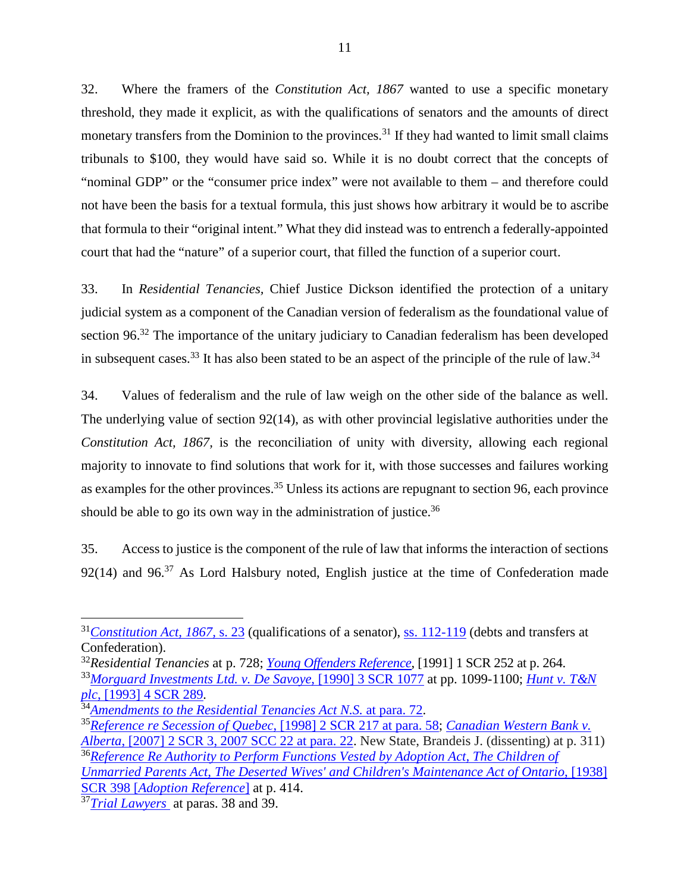32. Where the framers of the Constitution Act, 1867 wanted to use a specific monetary threshold, they made it explicit, as with the qualifications of senators and the amounts of direct monetary transfers from the Dominion to the provinces.<sup>31</sup> If they had wanted to limit small claims tribunals to \$100, they would have said so. While it is no doubt correct that the concepts of "nominal GDP" or the "consumer price index" were not available to them — and therefore could not have been the basis for a textual formula, this just shows how arbitrary it would be to ascribe that formula to their "original intent." What they did instead was to entrench a federally-appointed court that had the "nature" of a superior court, that filled the function of a superior court. <sup>11</sup><br>32. Where the framers of the *Constitution Act, 1867* wanted to use a specific monetary<br>threshold, they made it explicit, as with the qualifications of senators and the amounts of direct<br>monetary transfers from the D

33. In Residential Tenancies, Chief Justice Dickson identified the protection of a unitary judicial system as a component of the Canadian version of federalism as the foundational value of section 96.<sup>32</sup> The importance of the unitary judiciary to Canadian federalism has been developed section 96.<sup>32</sup> The importance of the unitary judiciary to Canadian federalism has been developed<br>in subsequent cases.<sup>33</sup> It has also been stated to be an aspect of the principle of the rule of law.<sup>34</sup>

34. Values of federalism and the rule of law weigh on the other side of the balance as well. 34. Values of federalism and the rule of law weigh on the other side of the balance as well. The underlying value of section 92(14), as with other provincial legislative authorities under the The underlying value of section 92(14), as with other provincial legislative authorities under the Constitution Act, 1867, is the reconciliation of unity with diversity, allowing each regional Constitution Act, 1867, is the reconciliation of unity with diversity, allowing each regional majority to innovate to find solutions that work for it, with those successes and failures working as examples for the other provinces.<sup>35</sup> Unless its actions are repugnant to section 96, each province<br>should be able to go its own way in the administration of justice.<sup>36</sup> should be able to go its own way in the administration of justice.<sup>36</sup>

35. Access to justice is the component of the rule of law that informs the interaction of sections  $92(14)$  and  $96<sup>37</sup>$  As Lord Halsbury noted, English justice at the time of Confederation made 35. Access to justice is the component of the rule of law that informs the interaction of sections 92(14) and 96.<sup>37</sup> As Lord Halsbury noted, English justice at the time of Confederation made

3[5Reference re Secession of Quebec, \[1998\] 2 SCR 217 at para. 58;](http://canlii.ca/t/1fqr3#par58) [Canadian Western Bank v.](http://canlii.ca/t/1rmr1#par22)  <sup>35</sup>*Reference re Secession of Quebec*, [1998] 2 SCR 217 at para. 58; *Canadian Western Bank v.*  [Alberta, \[2007\] 2 SCR 3, 2007 SCC 22 at para. 22.](http://canlii.ca/t/1rmr1#par22) New State, Brandeis J. (dissenting) at p. 311) *Alberta*, [2007] 2 SCR 3, 2007 SCC 22 at para. 22. New State, Brandeis J. (dissenting) at p. 311)

<sup>&</sup>lt;sup>31</sup>Constitution Act, 1867, s. 23 (qualifications of a senator), [ss. 112-119](http://canlii.ca/t/ldsw#sec112) (debts and transfers at Confederation). Confederation).

<sup>32</sup>Residential Tenancies at p. 728; [Young Offenders Reference,](https://www.canlii.org/en/ca/scc/doc/1990/1990canlii19/1990canlii19.html) [1991] 1 SCR 252 at p. 264. <sup>32</sup>*Residential Tenancies* at p. 728; *Young Offenders Reference*, [1991] 1 SCR 252 at p. 264.

<sup>33</sup>*Morguard Investments Ltd. v. De Savoye*, [1990] 3 SCR 1077 at pp. 1099-1100; *Hunt v. T&N* [plc, \[1993\] 4 SCR 289.](http://canlii.ca/t/1frxg)  *plc*, [1993] 4 SCR 289*.*

<sup>3</sup>[4Amendments to the Residential Tenancies Act N.S. at para. 72.](http://canlii.ca/t/1frcn#par72) <sup>34</sup>*Amendments to the Residential Tenancies Act N.S.* at para. 72.

<sup>&</sup>lt;sup>36</sup> Reference Re Authority to Perform Functions Vested by Adoption Act, The Children of Unmarried Parents Act, The Deserted Wives' and Children's Maintenance Act of Ontario, [1938]<br>SCR 398 [Adoption Reference] at p. 414. SCR 398 [Adoption Reference] at p. 414.

<sup>3</sup>[7 Trial Lawyers](http://canlii.ca/t/gds2j) at paras. 38 and 39. <sup>37</sup>*Trial Lawyers* at paras. 38 and 39.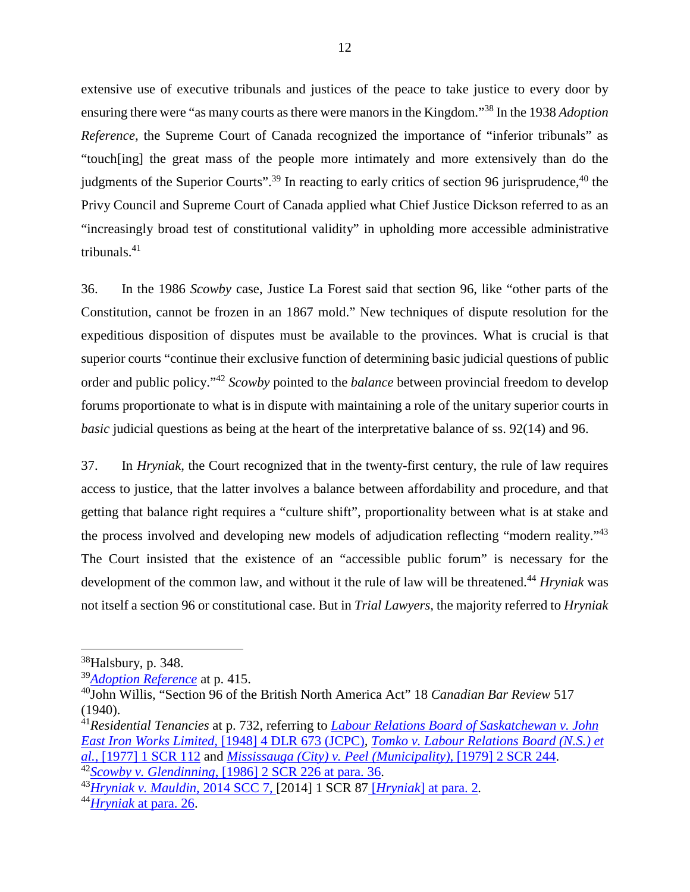extensive use of executive tribunals and justices of the peace to take justice to every door by ensuring there were "as many courts as there were manors in the Kingdom."<sup>38</sup> In the 1938 Adoption Reference, the Supreme Court of Canada recognized the importance of "inferior tribunals" as "touch[ing] the great mass of the people more intimately and more extensively than do the judgments of the Superior Courts".<sup>39</sup> In reacting to early critics of section 96 jurisprudence,<sup>40</sup> the Privy Council and Supreme Court of Canada applied what Chief Justice Dickson referred to as an "increasingly broad test of constitutional validity" in upholding more accessible administrative tribunals.41 12<br>extensive use of executive tribunals and justices of the peace to take justice to every door by<br>ensuring there were "as many courts as there were manors in the Kingdom."<sup>38</sup> In the 1938 *Adoption*<br>Reference, the Supreme "touch[ing] the great mass of the people more intimately and more extensively than do the judgments of the Superior Courts".<sup>39</sup> In reacting to early critics of section 96 jurisprudence,<sup>40</sup> the Privy Council and Supreme C

36. In the 1986 Scowby case, Justice La Forest said that section 96, like "other parts of the 36. In the 1986 Scowby case, Justice La Forest said that section 96, like "other parts of the Constitution, cannot be frozen in an 1867 mold." New techniques of dispute resolution for the expeditious disposition of disputes must be available to the provinces. What is crucial is that superior courts "continue their exclusive function of determining basic judicial questions of public expeditious disposition of disputes must be available to the provinces. What is crucial is that<br>superior courts "continue their exclusive function of determining basic judicial questions of public<br>order and public policy." forums proportionate to what is in dispute with maintaining a role of the unitary superior courts in forums proportionate to what is in dispute with maintaining a role of the unitary superior courts in basic judicial questions as being at the heart of the interpretative balance of ss. 92(14) and 96. *basic* judicial questions as being at the heart of the interpretative balance of ss. 92(14) and 96.

37. In Hryniak, the Court recognized that in the twenty-first century, the rule of law requires 37. In *Hryniak,* the Court recognized that in the twenty-first century, the rule of law requires access to justice, that the latter involves a balance between affordability and procedure, and that getting that balance right requires a "culture shift", proportionality between what is at stake and access to justice, that the latter involves a balance between affordability and procedure, and that<br>getting that balance right requires a "culture shift", proportionality between what is at stake and<br>the process involved a The Court insisted that the existence of an "accessible public forum" is necessary for the development of the common law, and without it the rule of law will be threatened.<sup>44</sup> Hryniak was not itself a section 96 or constitutional case. But in Trial Lawyers, the majority referred to Hryniak The Court insisted that the existence of an "accessible public forum" is necessary for the development of the common law, and without it the rule of law will be threatened.<sup>44</sup> *Hryniak* was not itself a section 96 or cons

 $\overline{a}$ 

<sup>38</sup>Halsbury, p. 348. <sup>38</sup>Halsbury, p. 348.

<sup>3</sup>[9 Adoption Reference](http://canlii.ca/t/1nmz9) at p. 415. <sup>39</sup>*Adoption Reference*at p. 415.

<sup>40</sup>John Willis, "Section 96 of the British North America Act" 18 Canadian Bar Review 517 <sup>40</sup>John Willis, "Section 96 of the British North America Act" 18 *Canadian Bar Review* 517 (1940). (1940).

<sup>&</sup>lt;sup>41</sup> Residential Tenancies at p. 732[,](http://canlii.ca/t/gct9b) referring to <u>Labour Relations Board of Saskatchewan v. John</u><br>East Iron Works Limited, [1948] 4 DLR 673 (JCPC), *Tomko v. Labour Relations Board (N.S.) et*<br>al., [1977] 1 SCR 112 and *M* East Iron Works Limited, [1948] 4 DLR 673 (JCPC), Tomko v. Labour Relations Board (N.S.) et al.,  $[1977]$  1 SCR 112 and *Mississauga (City) v. Peel (Municipality)*,  $[1979]$  2 SCR 244. 4[2Scowby v. Glendinning, \[1986\] 2 SCR 226 at para. 36.](http://canlii.ca/t/1ftqf#par36) <sup>42</sup>*Scowby v. Glendinning*, [1986] 2 SCR 226 at para. 36.

<sup>4</sup>[3Hryniak v. Mauldin, 2014 SCC 7, \[2014\] 1 SCR 87 IHryniald at para. 2.](http://canlii.ca/t/g2s18#par2) <sup>43</sup>*Hryniak v. Mauldin*, 2014 SCC 7, [2014] 1 SCR 87 [*Hryniak*] at para. 2*.*

<sup>4</sup>[4Hryniak at para. 26.](http://canlii.ca/t/g2s18#par26) <sup>44</sup>*Hryniak* at para. 26.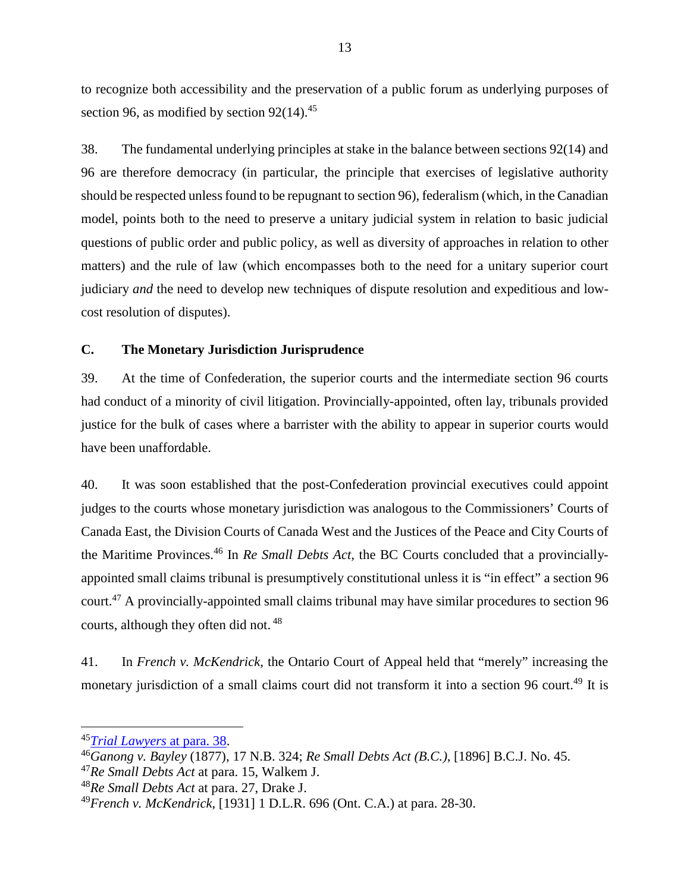to recognize both accessibility and the preservation of a public forum as underlying purposes of to recognize both accessibility and the preservation of a public forum as underlying purposes of section 96, as modified by section  $92(14).^{45}$ 

38. The fundamental underlying principles at stake in the balance between sections 92(14) and 38. The fundamental underlying principles at stake in the balance between sections 92(14) and 96 are therefore democracy (in particular, the principle that exercises of legislative authority should be respected unless found to be repugnant to section 96), federalism (which, in the Canadian model, points both to the need to preserve a unitary judicial system in relation to basic judicial questions of public order and public policy, as well as diversity of approaches in relation to other matters) and the rule of law (which encompasses both to the need for a unitary superior court judiciary and the need to develop new techniques of dispute resolution and expeditious and lowcost resolution of disputes). cost resolution of disputes). 96 are therefore democracy (in particular, the principle that exercises of legislative authority<br>should be respected unless found to be repugnant to section 96), federalism (which, in the Canadian<br>model, points both to the

#### C. The Monetary Jurisdiction Jurisprudence **C. The Monetary Jurisdiction Jurisprudence**

39. At the time of Confederation, the superior courts and the intermediate section 96 courts had conduct of a minority of civil litigation. Provincially-appointed, often lay, tribunals provided justice for the bulk of cases where a barrister with the ability to appear in superior courts would have been unaffordable. 39. At the time of Confederation, the superior courts and the intermediate section 96 courts<br>had conduct of a minority of civil litigation. Provincially-appointed, often lay, tribunals provided<br>justice for the bulk of case

40. It was soon established that the post-Confederation provincial executives could appoint 40. It was soon established that the post-Confederation provincial executives could appoint<br>judges to the courts whose monetary jurisdiction was analogous to the Commissioners' Courts of Canada East, the Division Courts of Canada West and the Justices of the Peace and City Courts of Canada East, the Division Courts of Canada West and the Justices of the Peace and City Courts of the Maritime Provinces.46 In Re Small Debts Act, the BC Courts concluded that a provincially-the Maritime Provinces.<sup>46</sup> In *Re Small Debts Act,* the BC Courts concluded that a provinciallyappointed small claims tribunal is presumptively constitutional unless it is "in effect" a section 96 appointed small claims tribunal is presumptively constitutional unless it is "in effect" a section 96 court.<sup>47</sup> A provincially-appointed small claims tribunal may have similar procedures to section 96 courts, although they often did not.<sup>48</sup> courts, although they often did not. <sup>48</sup>

41. In French v. McKendrick, the Ontario Court of Appeal held that "merely" increasing the 41. In *French v. McKendrick,* the Ontario Court of Appeal held that "merely" increasing the monetary jurisdiction of a small claims court did not transform it into a section 96 court.<sup>49</sup> It is

<sup>4</sup>[5Trial Lawyers at para. 38.](http://canlii.ca/t/gds2j#par38) <sup>45</sup>*Trial Lawyers* at para. 38.

<sup>46</sup>Ganong v. Bayley (1877), 17 N.B. 324; Re Small Debts Act (B.C.), [1896] B.C.J. No. 45. <sup>46</sup>*Ganong v. Bayley* (1877), 17 N.B. 324; *Re Small Debts Act (B.C.),* [1896] B.C.J. No. 45.

<sup>47</sup>Re Small Debts Act at para. 15, Walkem J. <sup>47</sup>*Re Small Debts Act* at para. 15, Walkem J.

<sup>48</sup>Re Small Debts Act at para. 27, Drake J. <sup>48</sup>*Re Small Debts Act* at para. 27, Drake J.

<sup>49</sup>French v. McKendrick, [1931] 1 D.L.R. 696 (Ont. C.A.) at para. 28-30. <sup>49</sup>*French v. McKendrick,* [1931] 1 D.L.R. 696 (Ont. C.A.) at para. 28-30.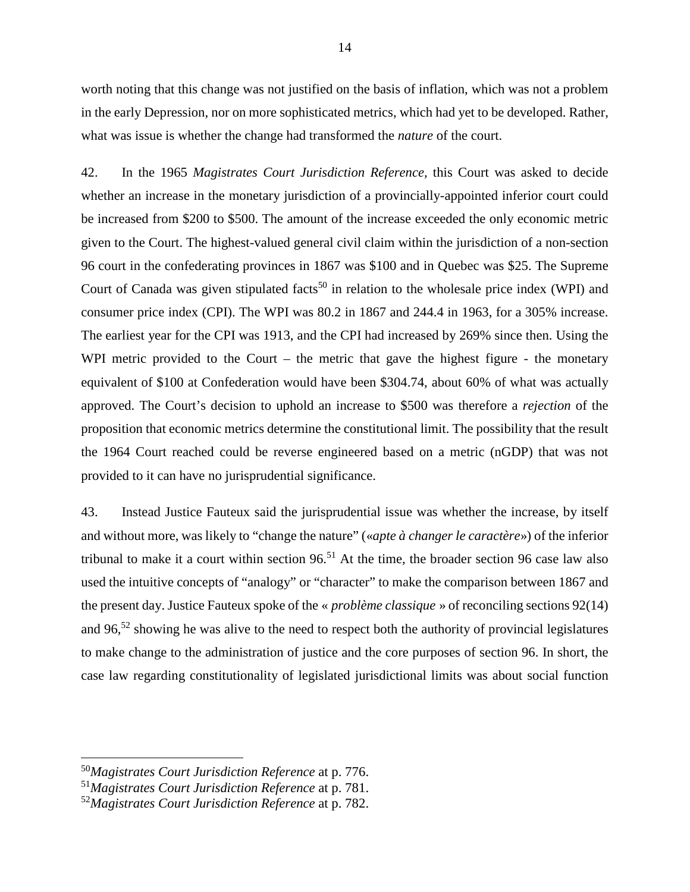worth noting that this change was not justified on the basis of inflation, which was not a problem in the early Depression, nor on more sophisticated metrics, which had yet to be developed. Rather, what was issue is whether the change had transformed the *nature* of the court. <sup>14</sup><br>worth noting that this change was not justified on the basis of inflation, which was not a problem<br>in the early Depression, nor on more sophisticated metrics, which had yet to be developed. Rather,<br>what was issue is w

42. In the 1965 Magistrates Court Jurisdiction Reference, this Court was asked to decide whether an increase in the monetary jurisdiction of a provincially-appointed inferior court could be increased from \$200 to \$500. The amount of the increase exceeded the only economic metric given to the Court. The highest-valued general civil claim within the jurisdiction of a non-section 96 court in the confederating provinces in 1867 was \$100 and in Quebec was \$25. The Supreme 42. In the 1965 *Magistrates Court Jurisdiction Reference*, this Court was asked to decide<br>whether an increase in the monetary jurisdiction of a provincially-appointed inferior court could<br>be increased from \$200 to \$500. consumer price index (CPI). The WPI was 80.2 in 1867 and 244.4 in 1963, for a 305% increase. consumer price index (CPI). The WPI was 80.2 in 1867 and 244.4 in 1963, for a 305% increase. The earliest year for the CPI was 1913, and the CPI had increased by 269% since then. Using the WPI metric provided to the Court – the metric that gave the highest figure - the monetary equivalent of \$100 at Confederation would have been \$304.74, about 60% of what was actually approved. The Court's decision to uphold an increase to \$500 was therefore a rejection of the proposition that economic metrics determine the constitutional limit. The possibility that the result approved. The Court's decision to uphold an increase to \$500 was therefore a *rejection* of the proposition that economic metrics determine the constitutional limit. The possibility that the result the 1964 Court reached c provided to it can have no jurisprudential significance. The earliest year for the CPI was 1913, and the CPI had increased by 269% since then. Using the<br>WPI metric provided to the Court – the metric that gave the highest figure - the monetary<br>equivalent of \$100 at Confederation

provided to it can have no jurisprudential significance.<br>43. Instead Justice Fauteux said the jurisprudential issue was whether the increase, by itself and without more, was likely to "change the nature" («apte à changer le caractère») of the inferior tribunal to make it a court within section 96.51 At the time, the broader section 96 case law also used the intuitive concepts of "analogy" or "character" to make the comparison between 1867 and the present day. Justice Fauteux spoke of the « *problème classique* » of reconciling sections  $92(14)$ and without more, was likely to "change the nature" (*«apte à changer le caractère»*) of the inferior<br>tribunal to make it a court within section 96.<sup>51</sup> At the time, the broader section 96 case law also<br>used the intuitive to make change to the administration of justice and the core purposes of section 96. In short, the case law regarding constitutionality of legislated jurisdictional limits was about social function case law regarding constitutionality of legislated jurisdictional limits was about social function

<sup>50</sup>Magistrates Court Jurisdiction Reference at p. 776. <sup>50</sup>*Magistrates Court Jurisdiction Reference* at p. 776.

<sup>51</sup>Magistrates Court Jurisdiction Reference at p. 781. <sup>51</sup>*Magistrates Court Jurisdiction Reference* at p. 781.

<sup>52</sup>Magistrates Court Jurisdiction Reference at p. 782. <sup>52</sup>*Magistrates Court Jurisdiction Reference* at p. 782.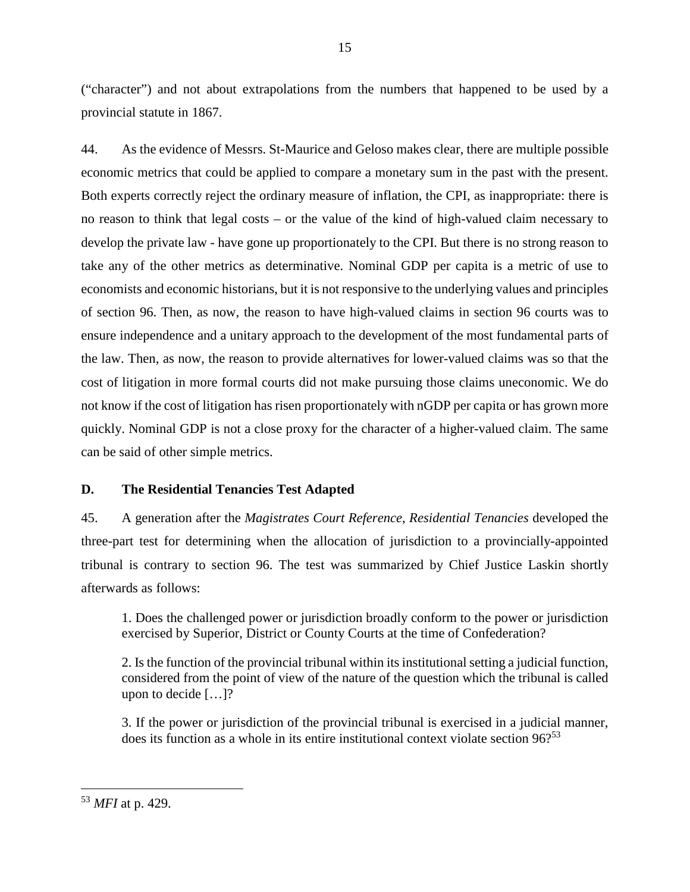("character") and not about extrapolations from the numbers that happened to be used by a<br>provincial statute in 1867.<br>44. As the evidence of Messrs. St-Maurice and Geloso makes clear, there are multiple possible provincial statute in 1867.

44. As the evidence of Messrs. St-Maurice and Geloso makes clear, there are multiple possible economic metrics that could be applied to compare a monetary sum in the past with the present. Both experts correctly reject the ordinary measure of inflation, the CPI, as inappropriate: there is no reason to think that legal costs — or the value of the kind of high-valued claim necessary to develop the private law - have gone up proportionately to the CPI. But there is no strong reason to take any of the other metrics as determinative. Nominal GDP per capita is a metric of use to economists and economic historians, but it is not responsive to the underlying values and principles of section 96. Then, as now, the reason to have high-valued claims in section 96 courts was to ensure independence and a unitary approach to the development of the most fundamental parts of ensure independence and a unitary approach to the development of the most fundamental parts of the law. Then, as now, the reason to provide alternatives for lower-valued claims was so that the the law. Then, as now, the reason to provide alternatives for lower-valued claims was so that the<br>cost of litigation in more formal courts did not make pursuing those claims uneconomic. We do not know if the cost of litigation has risen proportionately with nGDP per capita or has grown more quickly. Nominal GDP is not a close proxy for the character of a higher-valued claim. The same can be said of other simple metrics. economic metrics that could be applied to compare a monetary sum in the past with the present.<br>Both experts correctly reject the ordinary measure of inflation, the CPI, as inappropriate: there is<br>no reason to think that le not know if the cost of litigation has risen proportionately with nGDP per capita or has grown more<br>quickly. Nominal GDP is not a close proxy for the character of a higher-valued claim. The same<br>can be said of other simple

#### D. The Residential Tenancies Test Adapted **D. The Residential Tenancies Test Adapted**

45. A generation after the *Magistrates Court Reference*, *Residential Tenancies* developed the three-part test for determining when the allocation of jurisdiction to a provincially-appointed tribunal is contrary to section 96. The test was summarized by Chief Justice Laskin shortly afterwards as follows: 45. A generation after the *Magistrates Court Reference*, *Residential Tenancies* developed the three-part test for determining when the allocation of jurisdiction to a provincially-appointed tribunal is contrary to sectio

1. Does the challenged power or jurisdiction broadly conform to the power or jurisdiction exercised by Superior, District or County Courts at the time of Confederation? afterwards as follows:<br>
1. Does the challenged power or jurisdiction broadly conform to the power or jurisdiction<br>
exercised by Superior, District or County Courts at the time of Confederation?<br>
2. Is the function of the p

considered from the point of view of the nature of the question which the tribunal is called upon to decide [...]? considered from the point of view of the nature of the question which the tribunal is called<br>upon to decide [...]?<br>3. If the power or jurisdiction of the provincial tribunal is exercised in a judicial manner,<br>does its fun

3. If the power or jurisdiction of the provincial tribunal is exercised in a judicial manner,

 $\overline{a}$ 

<sup>53</sup> MFI at p. 429. <sup>53</sup> *MFI* at p. 429.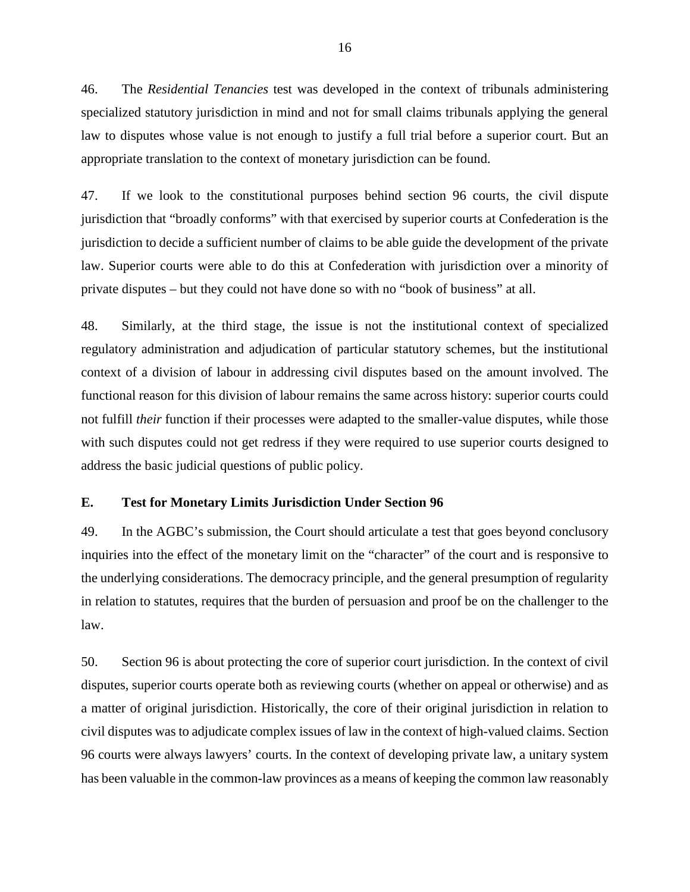46. The Residential Tenancies test was developed in the context of tribunals administering 46. The *Residential Tenancies* test was developed in the context of tribunals administering specialized statutory jurisdiction in mind and not for small claims tribunals applying the general specialized statutory jurisdiction in mind and not for small claims tribunals applying the general<br>law to disputes whose value is not enough to justify a full trial before a superior court. But an appropriate translation to the context of monetary jurisdiction can be found. appropriate translation to the context of monetary jurisdiction can be found.

47. If we look to the constitutional purposes behind section 96 courts, the civil dispute jurisdiction that "broadly conforms" with that exercised by superior courts at Confederation is the jurisdiction to decide a sufficient number of claims to be able guide the development of the private law. Superior courts were able to do this at Confederation with jurisdiction over a minority of private disputes — but they could not have done so with no "book of business" at all. 47. If we look to the constitutional purposes behind section 96 courts, the civil dispute<br>jurisdiction that "broadly conforms" with that exercised by superior courts at Confederation is the<br>jurisdiction to decide a suffici

48. Similarly, at the third stage, the issue is not the institutional context of specialized regulatory administration and adjudication of particular statutory schemes, but the institutional context of a division of labour in addressing civil disputes based on the amount involved. The regulatory administration and adjudication of particular statutory schemes, but the institutional<br>context of a division of labour in addressing civil disputes based on the amount involved. The<br>functional reason for this di not fulfill *their* function if their processes were adapted to the smaller-value disputes, while those<br>with such disputes could not get redress if they were required to use superior courts designed to<br>address the basic ju with such disputes could not get redress if they were required to use superior courts designed to address the basic judicial questions of public policy.

#### E. Test for Monetary Limits Jurisdiction Under Section 96 **E. Test for Monetary Limits Jurisdiction Under Section 96**

49. In the AGBC's submission, the Court should articulate a test that goes beyond conclusory inquiries into the effect of the monetary limit on the "character" of the court and is responsive to the underlying considerations. The democracy principle, and the general presumption of regularity in relation to statutes, requires that the burden of persuasion and proof be on the challenger to the law. 49. In the AGBC's submission, the Court should articulate a test that goes beyond conclusory<br>inquiries into the effect of the monetary limit on the "character" of the court and is responsive to<br>the underlying consideration

50. Section 96 is about protecting the core of superior court jurisdiction. In the context of civil disputes, superior courts operate both as reviewing courts (whether on appeal or otherwise) and as a matter of original jurisdiction. Historically, the core of their original jurisdiction in relation to civil disputes was to adjudicate complex issues of law in the context of high-valued claims. Section 96 courts were always lawyers' courts. In the context of developing private law, a unitary system has been valuable in the common-law provinces as a means of keeping the common law reasonably disputes, superior courts operate both as reviewing courts (whether on appeal or otherwise) and as<br>a matter of original jurisdiction. Historically, the core of their original jurisdiction in relation to<br>civil disputes was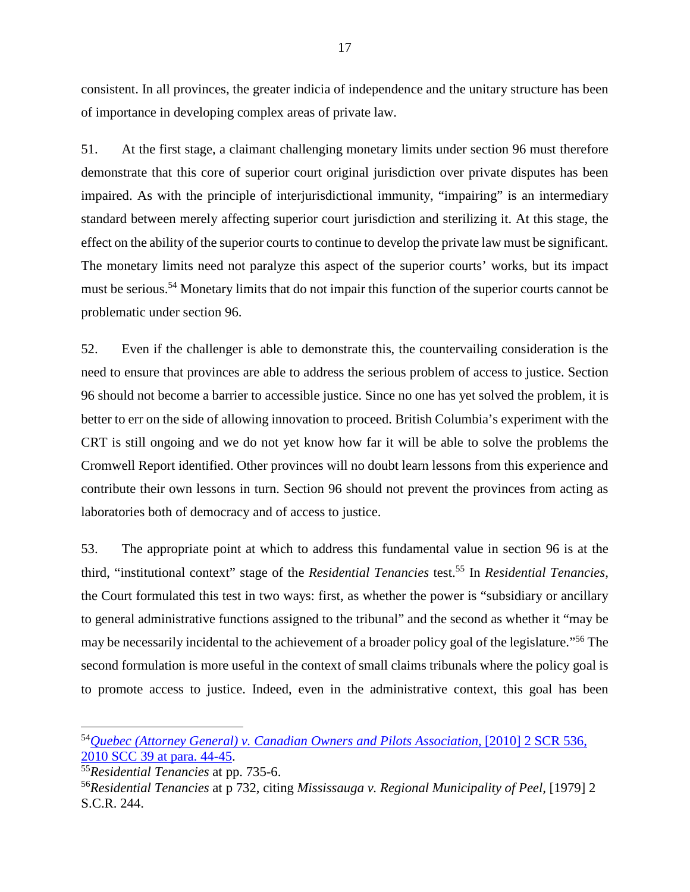consistent. In all provinces, the greater indicia of independence and the unitary structure has been<br>of importance in developing complex areas of private law.<br>51. At the first stage, a claimant challenging monetary limits of importance in developing complex areas of private law.

51. At the first stage, a claimant challenging monetary limits under section 96 must therefore demonstrate that this core of superior court original jurisdiction over private disputes has been impaired. As with the principle of interjurisdictional immunity, "impairing" is an intermediary standard between merely affecting superior court jurisdiction and sterilizing it. At this stage, the effect on the ability of the superior courts to continue to develop the private law must be significant. The monetary limits need not paralyze this aspect of the superior courts' works, but its impact must be serious.54 Monetary limits that do not impair this function of the superior courts cannot be problematic under section 96. demonstrate that this core of superior court original jurisdiction over private disputes has been<br>impaired. As with the principle of interjurisdictional immunity, "impairing" is an intermediary<br>standard between merely affe

52. Even if the challenger is able to demonstrate this, the countervailing consideration is the need to ensure that provinces are able to address the serious problem of access to justice. Section 96 should not become a barrier to accessible justice. Since no one has yet solved the problem, it is better to err on the side of allowing innovation to proceed. British Columbia's experiment with the CRT is still ongoing and we do not yet know how far it will be able to solve the problems the better to err on the side of allowing innovation to proceed. British Columbia's experiment with the<br>CRT is still ongoing and we do not yet know how far it will be able to solve the problems the<br>Cromwell Report identified. contribute their own lessons in turn. Section 96 should not prevent the provinces from acting as laboratories both of democracy and of access to justice. 52. Even if the challenger is able to demonstrate this, the countervailing consideration is the need to ensure that provinces are able to address the serious problem of access to justice. Section 96 should not become a bar

53. The appropriate point at which to address this fundamental value in section 96 is at the contribute their own lessons in turn. Section 96 should not prevent the provinces from acting as<br>laboratories both of democracy and of access to justice.<br>53. The appropriate point at which to address this fundamental value the Court formulated this test in two ways: first, as whether the power is "subsidiary or ancillary to general administrative functions assigned to the tribunal" and the second as whether it "may be may be necessarily incidental to the achievement of a broader policy goal of the legislature."<sup>56</sup> The second formulation is more useful in the context of small claims tribunals where the policy goal is<br>to promote access to justice. Indeed, even in the administrative context, this goal has been to promote access to justice. Indeed, even in the administrative context, this goal has been the Court formulated this test in two ways: first, as whether the power is "subsidiary or ancillary<br>to general administrative functions assigned to the tribunal" and the second as whether it "may be<br>may be necessarily inci

<sup>&</sup>lt;sup>54</sup> Quebec (Attorney General) v. Canadian Owners and Pilots Association[, \[2010\] 2 SCR 536,](http://canlii.ca/t/2cxpd#par44) 2010 SCC 39 at para. 44-45. [2010 SCC 39 at para. 44-45.](http://canlii.ca/t/2cxpd#par44)

<sup>55</sup>Residential Tenancies at pp. 735-6. <sup>55</sup>*Residential Tenancies* at pp. 735-6.

<sup>56</sup>Residential Tenancies at p 732, citing Mississauga v. Regional Municipality of Peel, [1979] 2 <sup>56</sup>*Residential Tenancies* at p 732, citing *Mississauga v. Regional Municipality of Peel,* [1979] 2 S.C.R. 244. S.C.R. 244.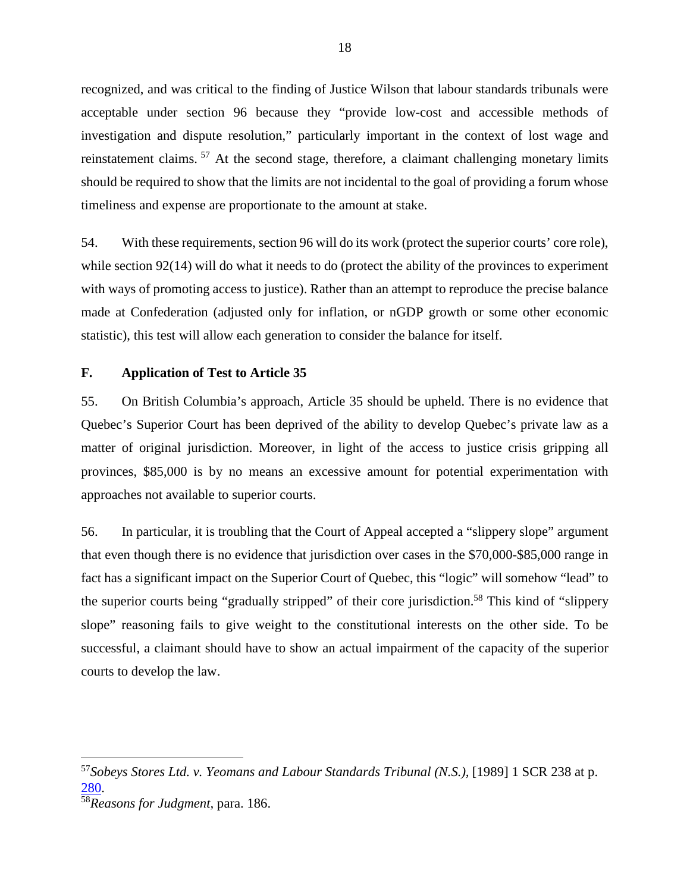recognized, and was critical to the finding of Justice Wilson that labour standards tribunals were acceptable under section 96 because they "provide low-cost and accessible methods of recognized, and was critical to the finding of Justice Wilson that labour standards tribunals were<br>acceptable under section 96 because they "provide low-cost and accessible methods of<br>investigation and dispute resolution," reinstatement claims.  $57$  At the second stage, therefore, a claimant challenging monetary limits should be required to show that the limits are not incidental to the goal of providing a forum whose timeliness and expense are proportionate to the amount at stake.

54. With these requirements, section 96 will do its work (protect the superior courts' core role), while section 92(14) will do what it needs to do (protect the ability of the provinces to experiment with ways of promoting access to justice). Rather than an attempt to reproduce the precise balance made at Confederation (adjusted only for inflation, or nGDP growth or some other economic statistic), this test will allow each generation to consider the balance for itself. reinstatement claims. <sup>57</sup> At the second stage, therefore, a claimant challenging monetary limits<br>should be required to show that the limits are not incidental to the goal of providing a forum whose<br>timeliness and expense

#### F. Application of Test to Article 35 **F. Application of Test to Article 35**

55. On British Columbia's approach, Article 35 should be upheld. There is no evidence that Quebec's Superior Court has been deprived of the ability to develop Quebec's private law as a matter of original jurisdiction. Moreover, in light of the access to justice crisis gripping all 55. On British Columbia's approach, Article 35 should be upheld. There is no evidence that Quebec's Superior Court has been deprived of the ability to develop Quebec's private law as a matter of original jurisdiction. More approaches not available to superior courts. approaches not available to superior courts.

56. In particular, it is troubling that the Court of Appeal accepted a "slippery slope" argument that even though there is no evidence that jurisdiction over cases in the \$70,000-\$85,000 range in fact has a significant impact on the Superior Court of Quebec, this "logic" will somehow "lead" to the superior courts being "gradually stripped" of their core jurisdiction.<sup>58</sup> This kind of "slippery<br>slope" reasoning fails to give weight to the constitutional interests on the other side. To be<br>successful, a claimant sh slope" reasoning fails to give weight to the constitutional interests on the other side. To be successful, a claimant should have to show an actual impairment of the capacity of the superior courts to develop the law.<br>
courts to develop the law. 56. In particular, it is troubling that the Court of Appeal accepted a "slippery slope" argument<br>that even though there is no evidence that jurisdiction over cases in the \$70,000-\$85,000 range in<br>fact has a significant imp

<sup>&</sup>lt;sup>57</sup>Sobeys Stores Ltd. v. Yeomans and Labour Standards Tribunal (N.S.), [1989] 1 SCR 238 at p.<br><u>280</u>. [280.](http://canlii.ca/t/1ft92)

<sup>58</sup>Reasons for Judgment, para. 186. <sup>58</sup>*Reasons for Judgment,* para. 186.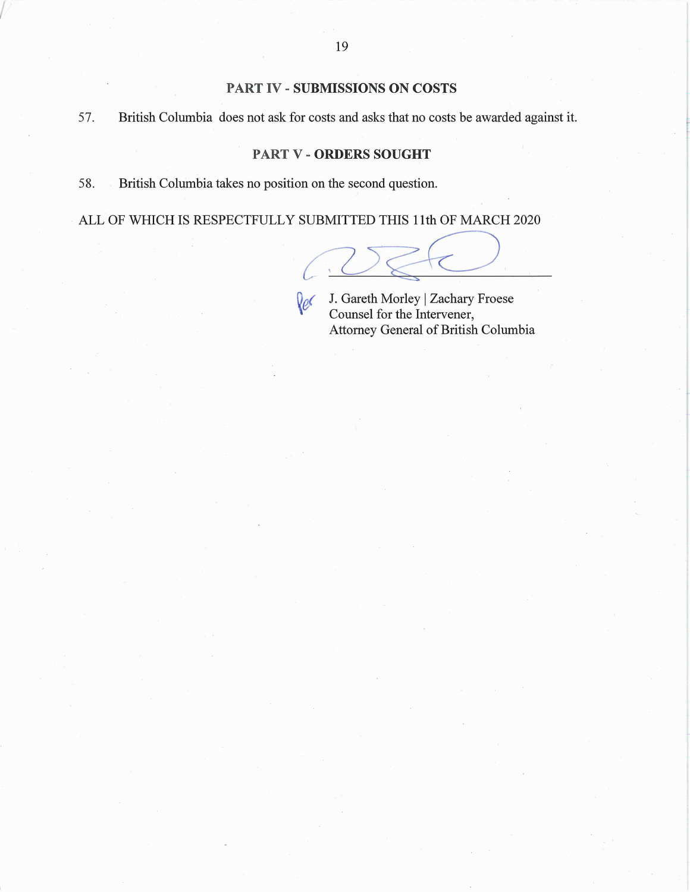#### PART IV - SUBMISSIONS ON COSTS **PART IV** - **SUBMISSIONS ON COSTS**

57. British Columbia does not ask for costs and asks that no costs be awarded against it. 57. British Columbia does not ask for costs and asks that no costs be awarded against it.

#### PART V - ORDERS SOUGHT **PARTV- ORDERSSOUGHT**

58. British Columbia takes no position on the second question. 5 8. British Columbia takes no position on the second question.

I

ALL OF WHICH IS RESPECTFULLY SUBMITTED THIS 11th OF MARCH 2020

iv J. Gareth MorleylZachary Froese J. Gareth Morley I Zachary Froese **Counsel for the Intervener,** Attorney General of British Columbia Attorney General of British Columbia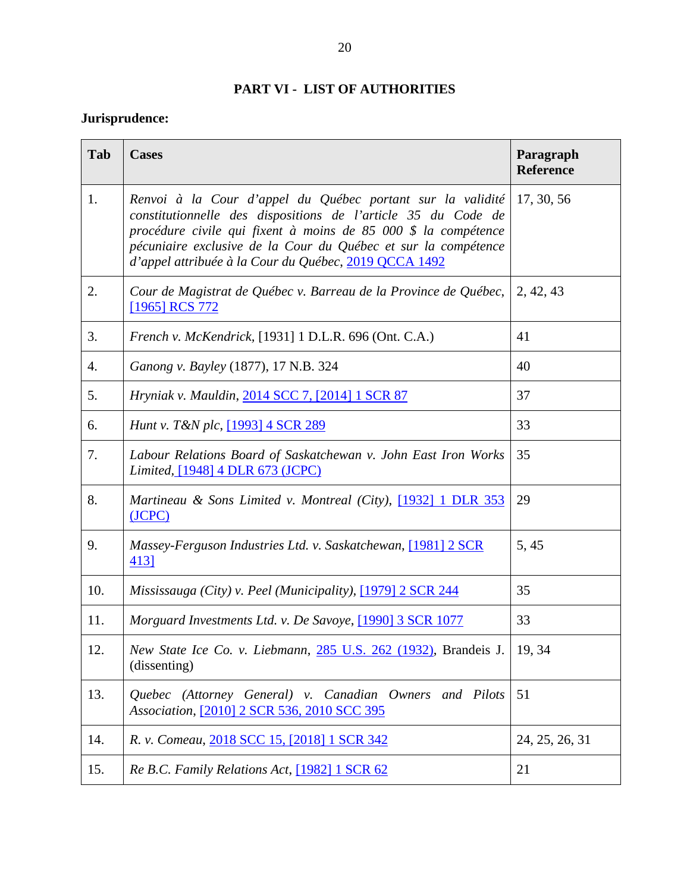#### PART VI - LIST OF AUTHORITIES **PART VI - LIST OF AUTHORITIES**

#### Jurisprudence:

| Jurisprudence: |                                                                                                                                                                                                                                                                                                                          |                               |
|----------------|--------------------------------------------------------------------------------------------------------------------------------------------------------------------------------------------------------------------------------------------------------------------------------------------------------------------------|-------------------------------|
| Tab            | <b>Cases</b>                                                                                                                                                                                                                                                                                                             | Paragraph<br><b>Reference</b> |
| 1.             | Renvoi à la Cour d'appel du Québec portant sur la validité<br>constitutionnelle des dispositions de l'article 35 du Code de<br>procédure civile qui fixent à moins de 85 000 \$ la compétence<br>pécuniaire exclusive de la Cour du Québec et sur la compétence<br>d'appel attribuée à la Cour du Québec, 2019 QCCA 1492 | 17, 30, 56                    |
| 2.             | Cour de Magistrat de Québec v. Barreau de la Province de Québec,<br>[1965] RCS 772                                                                                                                                                                                                                                       | 2, 42, 43                     |
| 3.             | <i>French v. McKendrick,</i> [1931] 1 D.L.R. 696 (Ont. C.A.)                                                                                                                                                                                                                                                             | 41                            |
| 4.             | Ganong v. Bayley (1877), 17 N.B. 324                                                                                                                                                                                                                                                                                     | 40                            |
| 5.             | Hryniak v. Mauldin, 2014 SCC 7, [2014] 1 SCR 87                                                                                                                                                                                                                                                                          | 37                            |
| 6.             | <i>Hunt v. T&amp;N plc,</i> [1993] 4 SCR 289                                                                                                                                                                                                                                                                             | 33                            |
| 7.             | Labour Relations Board of Saskatchewan v. John East Iron Works<br>Limited, [1948] 4 DLR 673 (JCPC)                                                                                                                                                                                                                       | 35                            |
| 8.             | Martineau & Sons Limited v. Montreal (City), [1932] 1 DLR 353<br>(JCPC)                                                                                                                                                                                                                                                  | 29                            |
| 9.             | Massey-Ferguson Industries Ltd. v. Saskatchewan, [1981] 2 SCR<br>413]                                                                                                                                                                                                                                                    | 5, 45                         |
| 10.            | Mississauga (City) v. Peel (Municipality), $[1979]$ 2 SCR 244                                                                                                                                                                                                                                                            | 35                            |
| 11.            | Morguard Investments Ltd. v. De Savoye, [1990] 3 SCR 1077                                                                                                                                                                                                                                                                | 33                            |
| 12.            | New State Ice Co. v. Liebmann, 285 U.S. 262 (1932), Brandeis J.<br>(dissenting)                                                                                                                                                                                                                                          | 19, 34                        |
| 13.            | Quebec (Attorney General) v. Canadian Owners and Pilots<br>Association, <a>[2010]</a> 2 SCR 536, 2010 SCC 395                                                                                                                                                                                                            | 51                            |
| 14.            | R. v. Comeau, 2018 SCC 15, [2018] 1 SCR 342                                                                                                                                                                                                                                                                              | 24, 25, 26, 31                |
| 15.            | Re B.C. Family Relations Act, [1982] 1 SCR 62                                                                                                                                                                                                                                                                            | 21                            |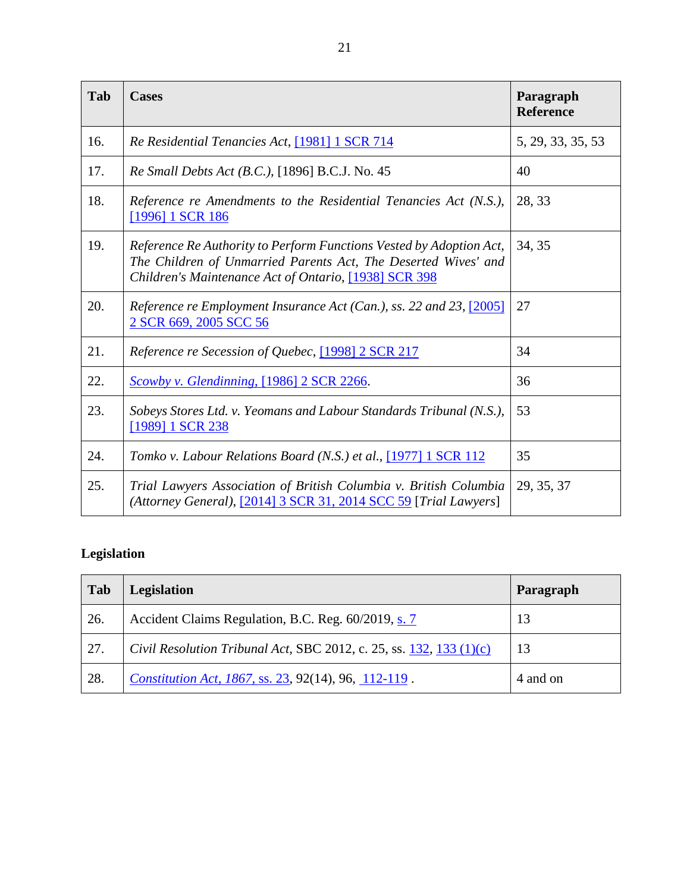| Tab | <b>Cases</b>                                                                                                                                                                                   | Paragraph<br><b>Reference</b> |
|-----|------------------------------------------------------------------------------------------------------------------------------------------------------------------------------------------------|-------------------------------|
| 16. | Re Residential Tenancies Act, [1981] 1 SCR 714                                                                                                                                                 | 5, 29, 33, 35, 53             |
| 17. | Re Small Debts Act (B.C.), [1896] B.C.J. No. 45                                                                                                                                                | 40                            |
| 18. | Reference re Amendments to the Residential Tenancies Act (N.S.),<br>[1996] 1 SCR 186                                                                                                           | 28, 33                        |
| 19. | Reference Re Authority to Perform Functions Vested by Adoption Act,<br>The Children of Unmarried Parents Act, The Deserted Wives' and<br>Children's Maintenance Act of Ontario, [1938] SCR 398 | 34, 35                        |
| 20. | Reference re Employment Insurance Act (Can.), ss. 22 and 23, [2005]<br>2 SCR 669, 2005 SCC 56                                                                                                  | 27                            |
| 21. | Reference re Secession of Quebec, [1998] 2 SCR 217                                                                                                                                             | 34                            |
| 22. | Scowby v. Glendinning, [1986] 2 SCR 2266.                                                                                                                                                      | 36                            |
| 23. | Sobeys Stores Ltd. v. Yeomans and Labour Standards Tribunal (N.S.),<br>[1989] 1 SCR 238                                                                                                        | 53                            |
| 24. | Tomko v. Labour Relations Board (N.S.) et al., [1977] 1 SCR 112                                                                                                                                | 35                            |
| 25. | Trial Lawyers Association of British Columbia v. British Columbia<br>(Attorney General), [2014] 3 SCR 31, 2014 SCC 59 [Trial Lawyers]                                                          | 29, 35, 37                    |

#### Legislation **Legislation**

| <b>Tab</b> | <b>Legislation</b>                                                    | Paragraph |
|------------|-----------------------------------------------------------------------|-----------|
| 26.        | Accident Claims Regulation, B.C. Reg. 60/2019, s. 7                   | 13        |
| 27.        | Civil Resolution Tribunal Act, SBC 2012, c. 25, ss. 132, 133 $(1)(c)$ | 13        |
| 28.        | <i>Constitution Act, 1867, ss. 23, 92(14), 96, 112-119.</i>           | 4 and on  |